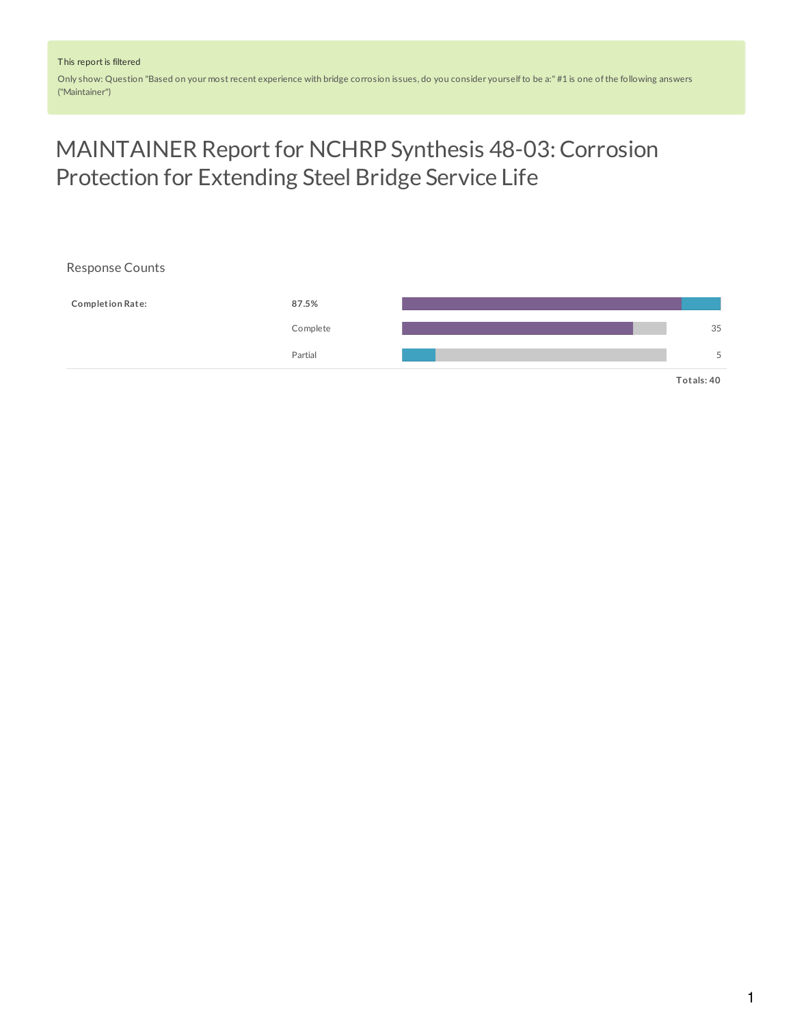Only show: Question "Based on your most recent experience with bridge corrosion issues, do you consider yourselfto be a:" #1 is one ofthe following answers ("Maintainer")

# MAINTAINER Report for NCHRP Synthesis 48-03: Corrosion Protection for Extending Steel Bridge Service Life

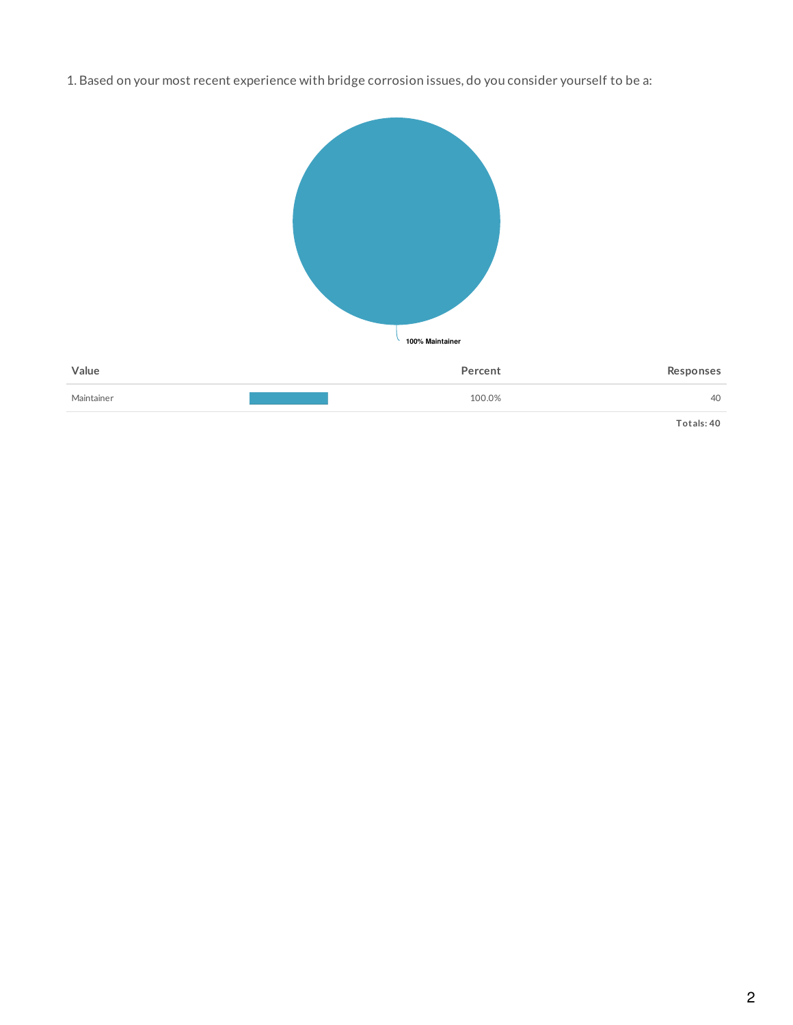1. Based on your most recent experience with bridge corrosion issues, do you consider yourself to be a:



**Totals: 40**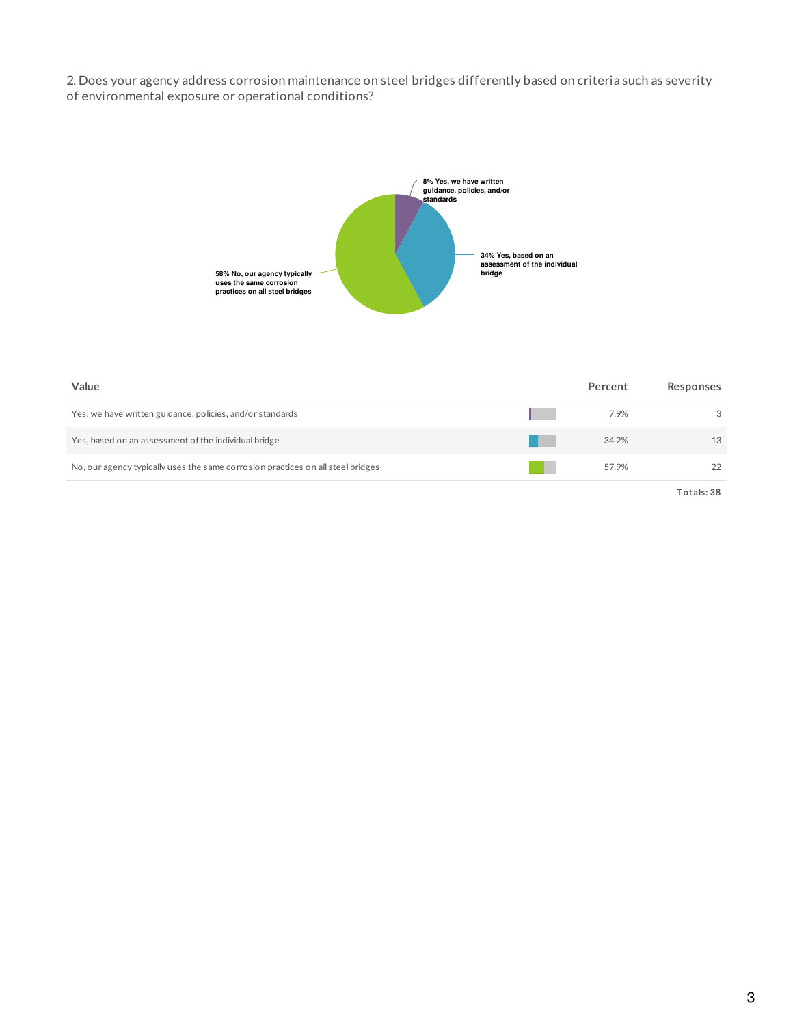2. Does your agency address corrosion maintenance on steel bridges differently based on criteria such as severity of environmental exposure or operational conditions?



| Value                                                                           | Percent | Responses  |
|---------------------------------------------------------------------------------|---------|------------|
| Yes, we have written guidance, policies, and/or standards                       | 7.9%    | 3          |
| Yes, based on an assessment of the individual bridge                            | 34.2%   | 13         |
| No, our agency typically uses the same corrosion practices on all steel bridges | 57.9%   | 22         |
|                                                                                 |         | Totals: 38 |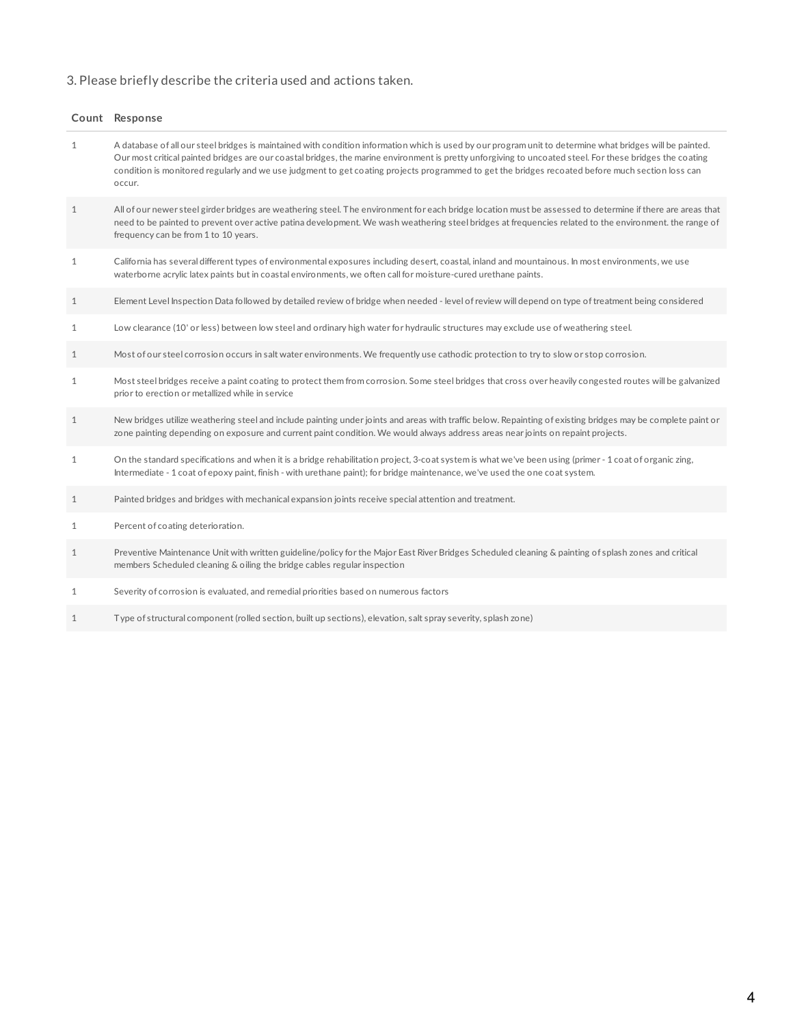## 3. Please briefly describe the criteria used and actions taken.

|              | Count Response                                                                                                                                                                                                                                                                                                                                                                                                                                                                      |
|--------------|-------------------------------------------------------------------------------------------------------------------------------------------------------------------------------------------------------------------------------------------------------------------------------------------------------------------------------------------------------------------------------------------------------------------------------------------------------------------------------------|
| $\mathbf{1}$ | A database of all our steel bridges is maintained with condition information which is used by our program unit to determine what bridges will be painted.<br>Our most critical painted bridges are our coastal bridges, the marine environment is pretty unforgiving to uncoated steel. For these bridges the coating<br>condition is monitored regularly and we use judgment to get coating projects programmed to get the bridges recoated before much section loss can<br>occur. |
| $\mathbf{1}$ | All of our newer steel girder bridges are weathering steel. The environment for each bridge location must be assessed to determine if there are areas that<br>need to be painted to prevent over active patina development. We wash weathering steel bridges at frequencies related to the environment. the range of<br>frequency can be from 1 to 10 years.                                                                                                                        |
| $\mathbf{1}$ | California has several different types of environmental exposures including desert, coastal, inland and mountainous. In most environments, we use<br>waterborne acrylic latex paints but in coastal environments, we often call for moisture-cured urethane paints.                                                                                                                                                                                                                 |
| $\mathbf{1}$ | Element Level Inspection Data followed by detailed review of bridge when needed - level of review will depend on type of treatment being considered                                                                                                                                                                                                                                                                                                                                 |
| $\mathbf{1}$ | Low clearance (10' or less) between low steel and ordinary high water for hydraulic structures may exclude use of weathering steel.                                                                                                                                                                                                                                                                                                                                                 |
| $\mathbf{1}$ | Most of our steel corrosion occurs in salt water environments. We frequently use cathodic protection to try to slow or stop corrosion.                                                                                                                                                                                                                                                                                                                                              |
| $\mathbf{1}$ | Most steel bridges receive a paint coating to protect them from corrosion. Some steel bridges that cross over heavily congested routes will be galvanized<br>prior to erection or metallized while in service                                                                                                                                                                                                                                                                       |
| $\mathbf{1}$ | New bridges utilize weathering steel and include painting under joints and areas with traffic below. Repainting of existing bridges may be complete paint or<br>zone painting depending on exposure and current paint condition. We would always address areas near joints on repaint projects.                                                                                                                                                                                     |
| $\mathbf{1}$ | On the standard specifications and when it is a bridge rehabilitation project, 3-coat system is what we've been using (primer - 1 coat of organic zing,<br>Intermediate - 1 coat of epoxy paint, finish - with urethane paint); for bridge maintenance, we've used the one coat system.                                                                                                                                                                                             |
| 1            | Painted bridges and bridges with mechanical expansion joints receive special attention and treatment.                                                                                                                                                                                                                                                                                                                                                                               |
| 1            | Percent of coating deterioration.                                                                                                                                                                                                                                                                                                                                                                                                                                                   |
| $\mathbf{1}$ | Preventive Maintenance Unit with written guideline/policy for the Major East River Bridges Scheduled cleaning & painting of splash zones and critical<br>members Scheduled cleaning & oiling the bridge cables regular inspection                                                                                                                                                                                                                                                   |
| $\mathbf{1}$ | Severity of corrosion is evaluated, and remedial priorities based on numerous factors                                                                                                                                                                                                                                                                                                                                                                                               |
|              |                                                                                                                                                                                                                                                                                                                                                                                                                                                                                     |

1 Type of structural component (rolled section, built up sections), elevation, salt spray severity, splash zone)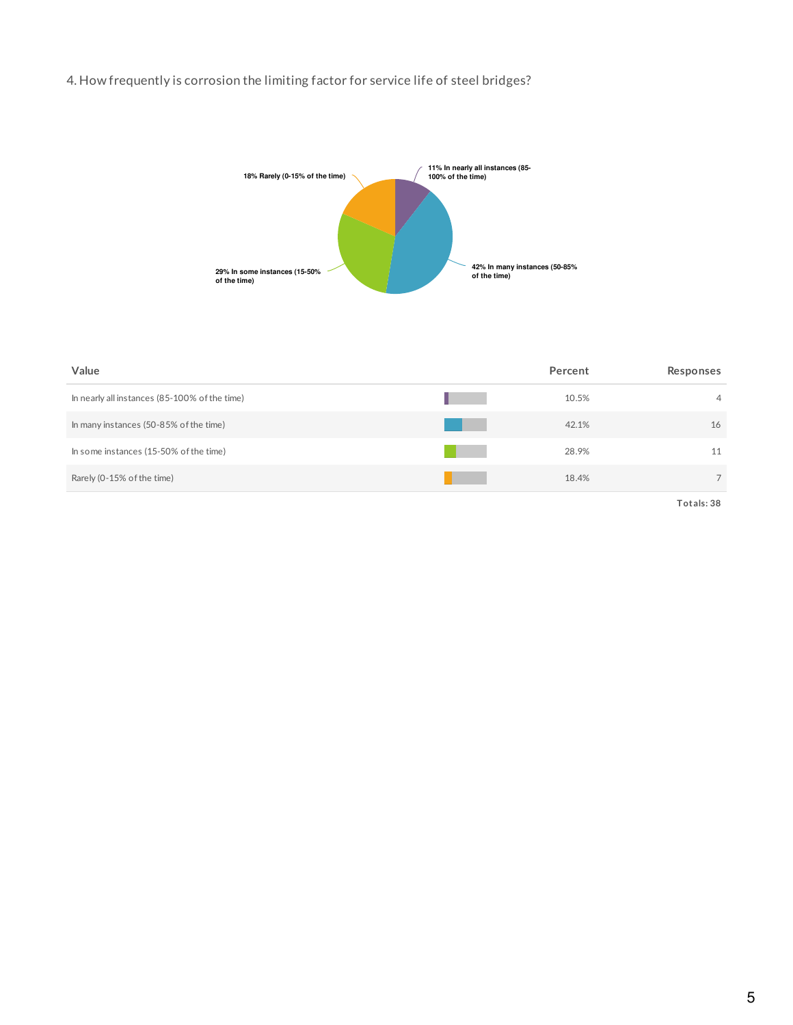## 4. How frequently is corrosion the limiting factor for service life of steel bridges?



| Value                                         | Percent | Responses      |
|-----------------------------------------------|---------|----------------|
| In nearly all instances (85-100% of the time) | 10.5%   | $\overline{4}$ |
| In many instances (50-85% of the time)        | 42.1%   | 16             |
| In some instances (15-50% of the time)        | 28.9%   | 11             |
| Rarely (0-15% of the time)                    | 18.4%   | $\overline{7}$ |
|                                               |         |                |

**Totals: 38**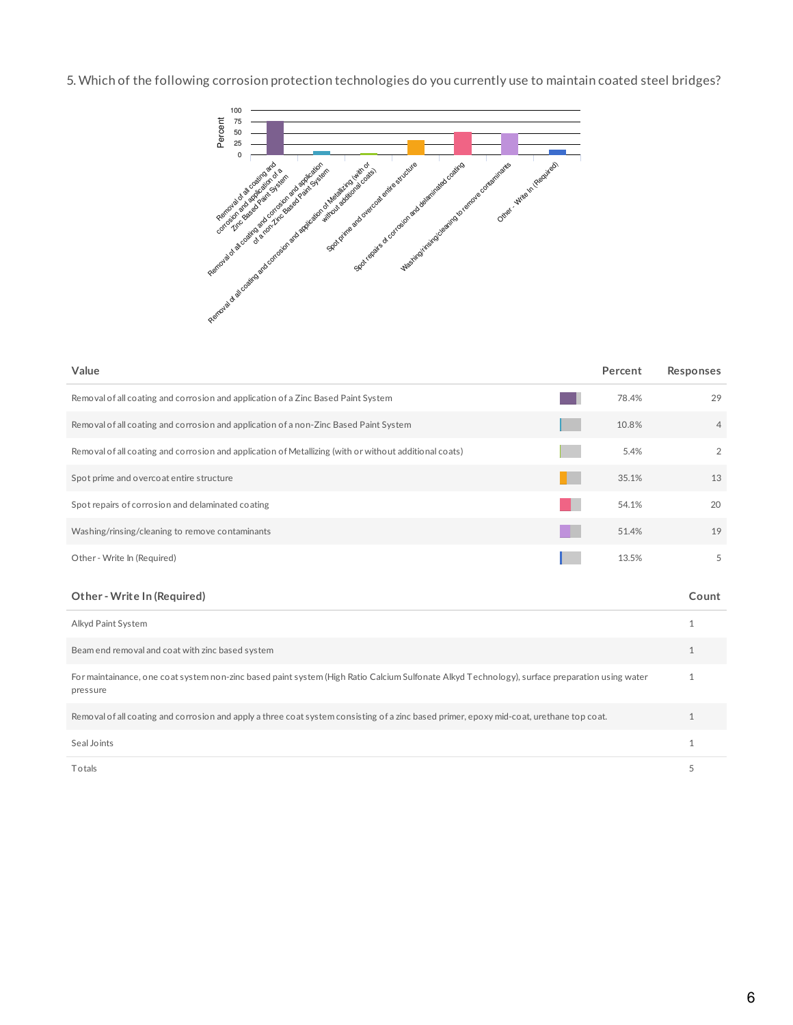5. Which of the following corrosion protection technologies do you currently use to maintain coated steel bridges?



| Value                                                                                                  | Percent | Responses      |
|--------------------------------------------------------------------------------------------------------|---------|----------------|
| Removal of all coating and corrosion and application of a Zinc Based Paint System                      | 78.4%   | 29             |
| Removal of all coating and corrosion and application of a non-Zinc Based Paint System                  | 10.8%   | $\overline{4}$ |
| Removal of all coating and corrosion and application of Metallizing (with or without additional coats) | 5.4%    | 2              |
| Spot prime and overcoat entire structure                                                               | 35.1%   | 13             |
| Spot repairs of corrosion and delaminated coating                                                      | 54.1%   | 20             |
| Washing/rinsing/cleaning to remove contaminants                                                        | 51.4%   | 19             |
| Other - Write In (Required)                                                                            | 13.5%   | 5              |
|                                                                                                        |         |                |

### **Other - Write In (Required) Count**

| Alkyd Paint System                                                                                                                                         |  |
|------------------------------------------------------------------------------------------------------------------------------------------------------------|--|
| Beam end removal and coat with zinc based system                                                                                                           |  |
| For maintainance, one coat system non-zinc based paint system (High Ratio Calcium Sulfonate Alkyd Technology), surface preparation using water<br>pressure |  |
| Removal of all coating and corrosion and apply a three coat system consisting of a zinc based primer, epoxy mid-coat, urethane top coat.                   |  |
| Seal Joints                                                                                                                                                |  |
| Totals                                                                                                                                                     |  |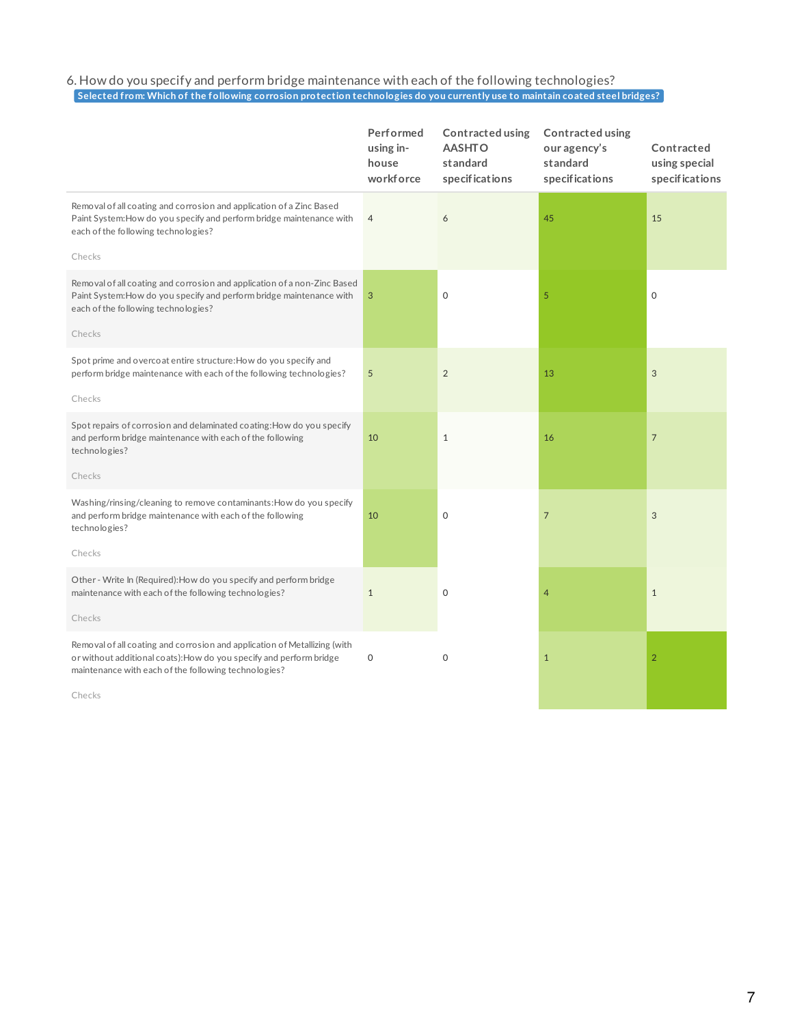### 6. How do you specify and perform bridge maintenance with each of the following technologies? Selected from: Which of the following corrosion protection technologies do you currently use to maintain coated steel bridges?

|                                                                                                                                                                                                          | Performed<br>using in-<br>house<br>workforce | Contracted using<br><b>AASHTO</b><br>standard<br>specifications | Contracted using<br>our agency's<br>standard<br>specifications | Contracted<br>using special<br>specifications |
|----------------------------------------------------------------------------------------------------------------------------------------------------------------------------------------------------------|----------------------------------------------|-----------------------------------------------------------------|----------------------------------------------------------------|-----------------------------------------------|
| Removal of all coating and corrosion and application of a Zinc Based<br>Paint System: How do you specify and perform bridge maintenance with<br>each of the following technologies?                      | $\overline{4}$                               | 6                                                               | 45                                                             | 15                                            |
| Checks                                                                                                                                                                                                   |                                              |                                                                 |                                                                |                                               |
| Removal of all coating and corrosion and application of a non-Zinc Based<br>Paint System: How do you specify and perform bridge maintenance with<br>each of the following technologies?                  | 3                                            | $\Omega$                                                        | 5                                                              | $\Omega$                                      |
| Checks                                                                                                                                                                                                   |                                              |                                                                 |                                                                |                                               |
| Spot prime and overcoat entire structure: How do you specify and<br>perform bridge maintenance with each of the following technologies?                                                                  | $\overline{5}$                               | 2                                                               | 13                                                             | $\mathfrak{S}$                                |
| Checks                                                                                                                                                                                                   |                                              |                                                                 |                                                                |                                               |
| Spot repairs of corrosion and delaminated coating: How do you specify<br>and perform bridge maintenance with each of the following<br>technologies?                                                      | 10                                           | $\mathbf{1}$                                                    | 16                                                             | $\overline{7}$                                |
| Checks                                                                                                                                                                                                   |                                              |                                                                 |                                                                |                                               |
| Washing/rinsing/cleaning to remove contaminants: How do you specify<br>and perform bridge maintenance with each of the following<br>technologies?                                                        | 10                                           | $\Omega$                                                        | 7                                                              | 3                                             |
| Checks                                                                                                                                                                                                   |                                              |                                                                 |                                                                |                                               |
| Other - Write In (Required): How do you specify and perform bridge<br>maintenance with each of the following technologies?                                                                               | $\mathbf{1}$                                 | $\circ$                                                         | 4                                                              | $\mathbf{1}$                                  |
| Checks                                                                                                                                                                                                   |                                              |                                                                 |                                                                |                                               |
| Removal of all coating and corrosion and application of Metallizing (with<br>or without additional coats): How do you specify and perform bridge<br>maintenance with each of the following technologies? | $\mathsf{O}\xspace$                          | $\mathbf 0$                                                     | $\mathbf{1}$                                                   | $\overline{2}$                                |
|                                                                                                                                                                                                          |                                              |                                                                 |                                                                |                                               |

Checks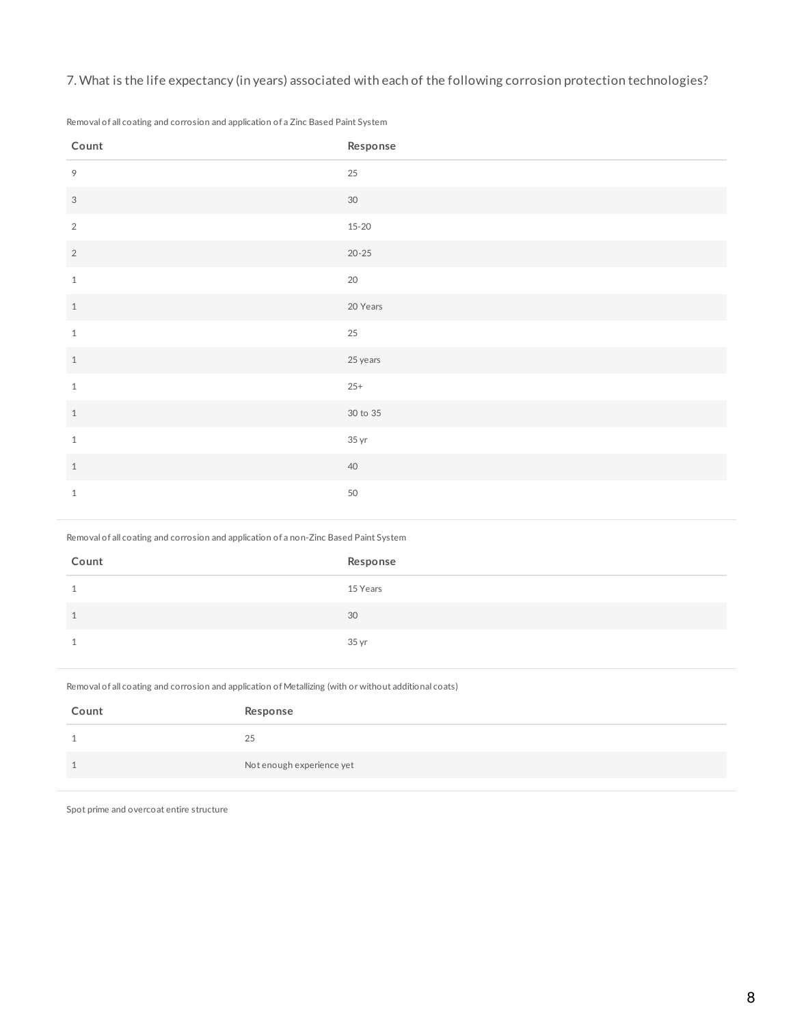7. What is the life expectancy (in years) associated with each of the following corrosion protection technologies?

Removal of all coating and corrosion and application of a Zinc Based Paint System

| Count          | Response  |
|----------------|-----------|
| 9              | $25\,$    |
| $\mathfrak{S}$ | $30\,$    |
| $\sqrt{2}$     | $15 - 20$ |
| $\sqrt{2}$     | $20 - 25$ |
| $\,1$          | $20\,$    |
| $\,1\,$        | 20 Years  |
| $\,1$          | 25        |
| $1\,$          | 25 years  |
| $\,1$          | $25+$     |
| $\,1$          | 30 to 35  |
| $\,1$          | 35 yr     |
| $\,1$          | 40        |
| $\mathbf{1}$   | 50        |

Removal of all coating and corrosion and application of a non-Zinc Based Paint System

| Count | Response |
|-------|----------|
|       | 15 Years |
|       | 30       |
|       | 35 yr    |

Removal of all coating and corrosion and application of Metallizing (with or without additional coats)

| Count | Response                  |
|-------|---------------------------|
|       | 25                        |
|       | Not enough experience yet |

Spot prime and overcoat entire structure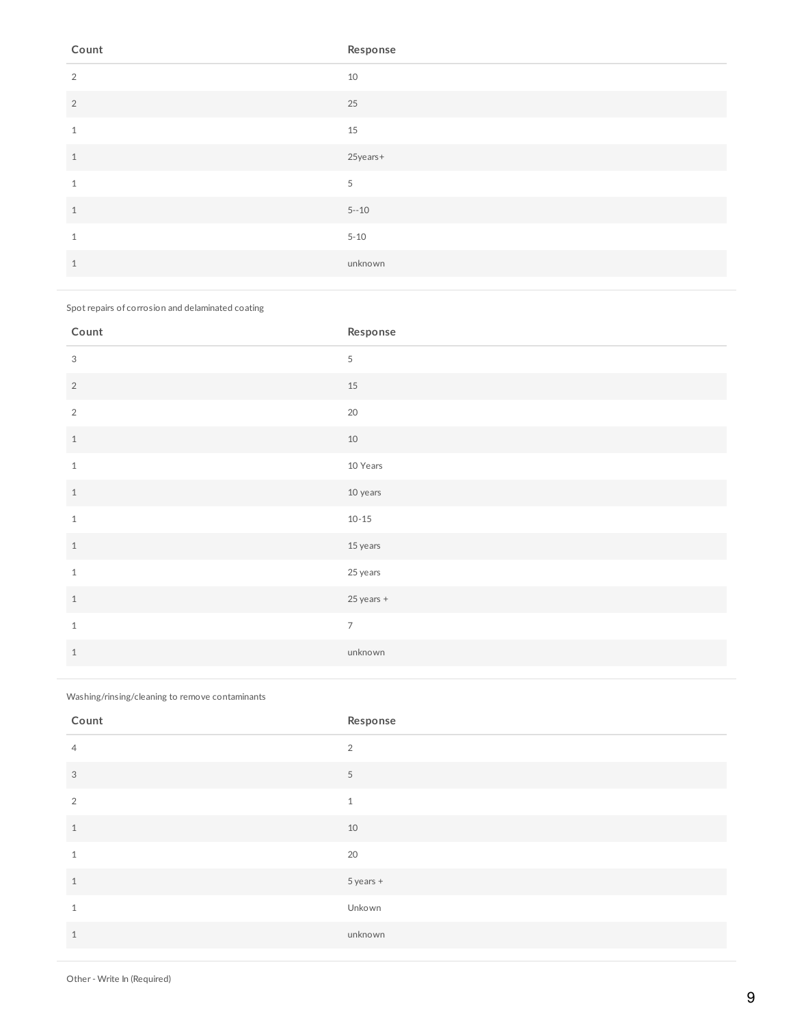| Count          | Response |
|----------------|----------|
| 2              | 10       |
| $\overline{2}$ | 25       |
| 1              | 15       |
| 1              | 25years+ |
| $\mathbf{1}$   | 5        |
| $\mathbf{1}$   | $5 - 10$ |
| 1              | $5 - 10$ |
|                | unknown  |

Spot repairs of corrosion and delaminated coating

| Count          | Response       |
|----------------|----------------|
| 3              | $\mathbf 5$    |
| $\sqrt{2}$     | 15             |
| $\overline{2}$ | 20             |
| $\,1\,$        | $10\,$         |
| $1\,$          | 10 Years       |
| $\,1\,$        | 10 years       |
| $1\,$          | $10 - 15$      |
| $\,1\,$        | 15 years       |
| $\mathbf{1}$   | 25 years       |
| $1\,$          | 25 years +     |
| $1\,$          | $\overline{7}$ |
| $\,1\,$        | unknown        |

Washing/rinsing/cleaning to remove contaminants

| Count          | Response  |
|----------------|-----------|
| $\overline{4}$ | 2         |
| 3              | 5         |
| 2              | $1\,$     |
| $\mathbf{1}$   | 10        |
| $\mathbf{1}$   | 20        |
| $\mathbf{1}$   | 5 years + |
| $\mathbf{1}$   | Unkown    |
| $\mathbf{1}$   | unknown   |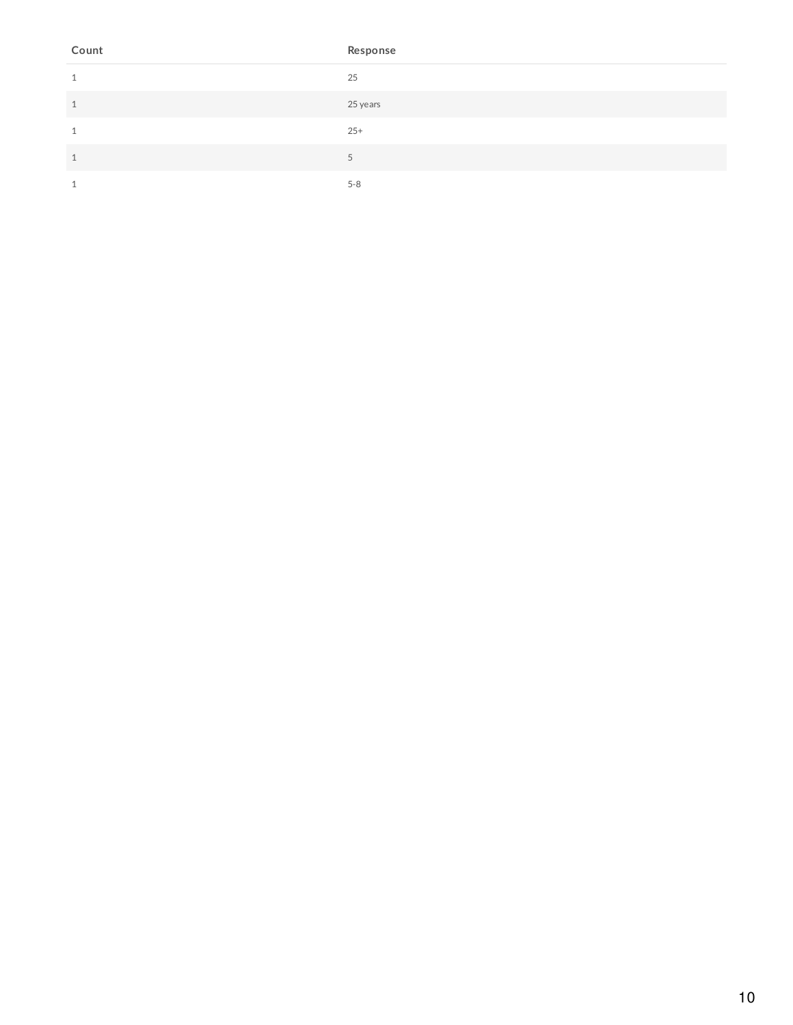| Count        | Response |
|--------------|----------|
| 1            | 25       |
| $\mathbf{1}$ | 25 years |
| 1            | $25+$    |
| $\mathbf{1}$ | 5        |
| 1            | $5 - 8$  |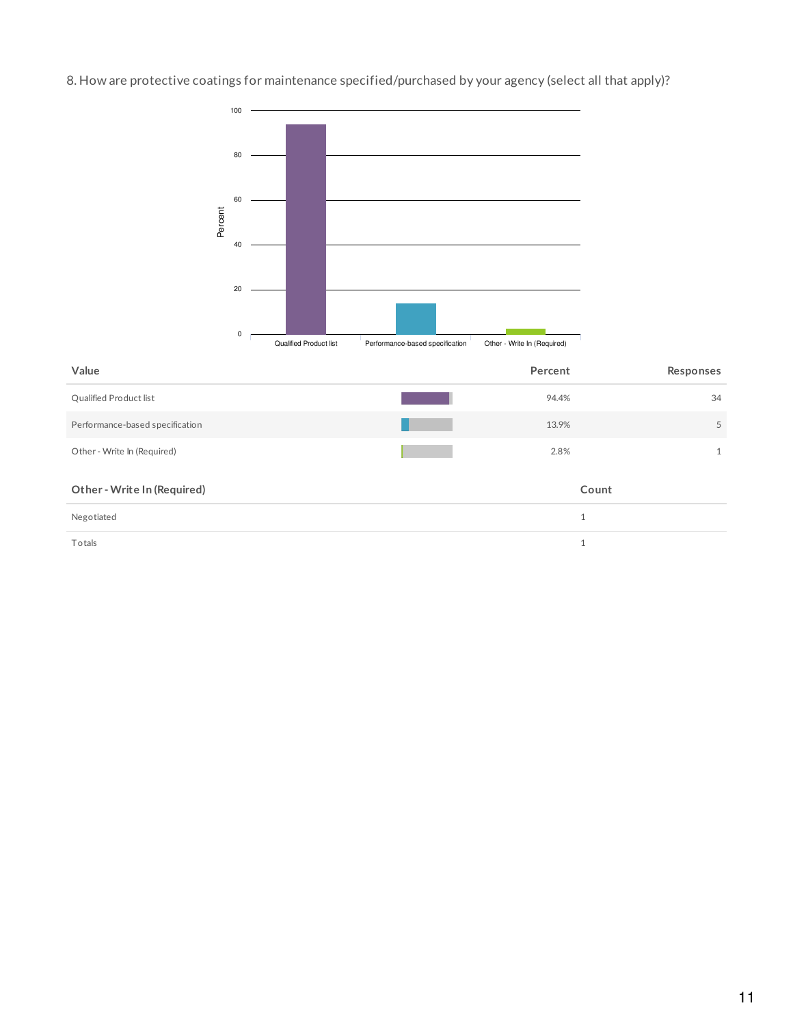8. How are protective coatings for maintenance specified/purchased by your agency (select all that apply)?



| Value                           | Percent | Responses           |
|---------------------------------|---------|---------------------|
| Qualified Product list          | 94.4%   | 34                  |
| Performance-based specification | 13.9%   | 5                   |
| Other - Write In (Required)     | 2.8%    | $\mathbf{1}$        |
| Other - Write In (Required)     |         | Count               |
| Negotiated                      |         | $\overline{ }$<br>T |

 $\blacksquare$  Totals  $\blacksquare$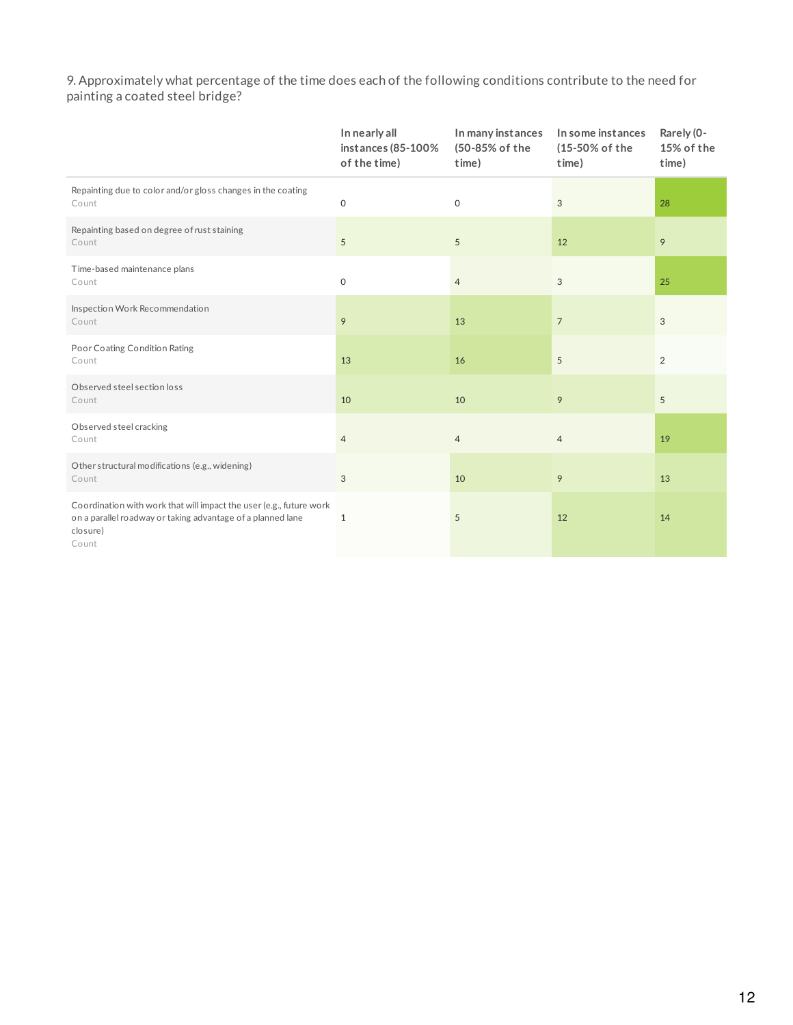9. Approximately what percentage of the time does each of the following conditions contribute to the need for painting a coated steel bridge?

|                                                                                                                                                         | In nearly all<br>instances (85-100%<br>of the time) | In many instances<br>(50-85% of the<br>time) | In some instances<br>(15-50% of the<br>time) | Rarely (0-<br>15% of the<br>time) |
|---------------------------------------------------------------------------------------------------------------------------------------------------------|-----------------------------------------------------|----------------------------------------------|----------------------------------------------|-----------------------------------|
| Repainting due to color and/or gloss changes in the coating<br>Count                                                                                    | $\mathsf{O}\xspace$                                 | $\mathsf{O}\xspace$                          | 3                                            | 28                                |
| Repainting based on degree of rust staining<br>Count                                                                                                    | 5                                                   | $\sqrt{5}$                                   | 12                                           | 9                                 |
| Time-based maintenance plans<br>Count                                                                                                                   | $\mathsf{O}\xspace$                                 | $\overline{4}$                               | 3                                            | 25                                |
| Inspection Work Recommendation<br>Count                                                                                                                 | 9                                                   | 13                                           | $\overline{7}$                               | 3                                 |
| Poor Coating Condition Rating<br>Count                                                                                                                  | 13                                                  | 16                                           | 5                                            | 2                                 |
| Observed steel section loss<br>Count                                                                                                                    | 10                                                  | 10                                           | 9                                            | 5                                 |
| Observed steel cracking<br>Count                                                                                                                        | $\overline{4}$                                      | $\overline{4}$                               | $\overline{4}$                               | 19                                |
| Other structural modifications (e.g., widening)<br>Count                                                                                                | $\sqrt{3}$                                          | 10                                           | 9                                            | 13                                |
| Coordination with work that will impact the user (e.g., future work<br>on a parallel roadway or taking advantage of a planned lane<br>closure)<br>Count | $\mathbf{1}$                                        | 5                                            | 12                                           | 14                                |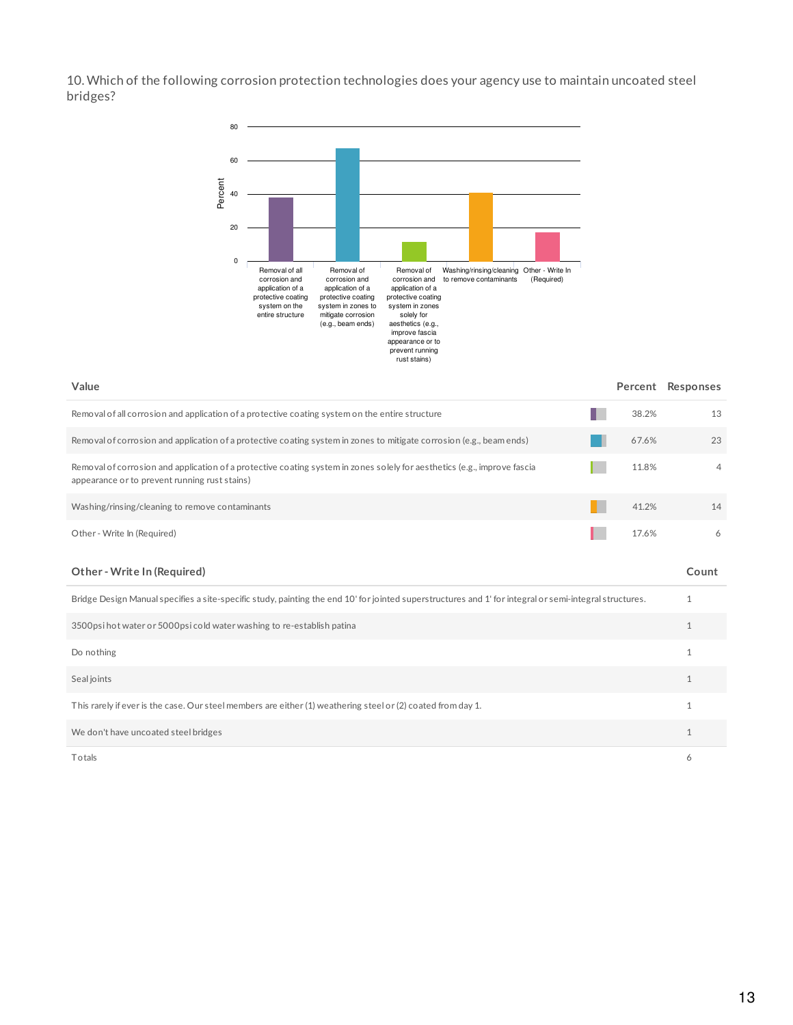10. Which of the following corrosion protection technologies does your agency use to maintain uncoated steel bridges?



| Value                                                                                                                                                                     |       | Percent Responses |
|---------------------------------------------------------------------------------------------------------------------------------------------------------------------------|-------|-------------------|
| Removal of all corrosion and application of a protective coating system on the entire structure                                                                           | 38.2% | 13                |
| Removal of corrosion and application of a protective coating system in zones to mitigate corrosion (e.g., beam ends)                                                      | 67.6% | 23                |
| Removal of corrosion and application of a protective coating system in zones solely for aesthetics (e.g., improve fascia<br>appearance or to prevent running rust stains) | 11.8% | $\overline{4}$    |
| Washing/rinsing/cleaning to remove contaminants                                                                                                                           | 41.2% | 14                |
| Other - Write In (Required)                                                                                                                                               | 17.6% | 6                 |
| Other - Write In (Required)                                                                                                                                               |       | Count             |
| Bridge Design Manual specifies a site-specific study, painting the end 10' for jointed superstructures and 1' for integral or semi-integral structures.                   |       | 1                 |
| 3500psi hot water or 5000psi cold water washing to re-establish patina                                                                                                    |       | $\mathbf{1}$      |
| Do nothing                                                                                                                                                                |       | $\mathbf{1}$      |
| Seal joints                                                                                                                                                               |       | $\mathbf{1}$      |
| This rarely if ever is the case. Our steel members are either (1) weathering steel or (2) coated from day 1.                                                              |       | $\mathbf{1}$      |
| We don't have uncoated steel bridges                                                                                                                                      |       | $\mathbf{1}$      |
|                                                                                                                                                                           |       |                   |

Totals 6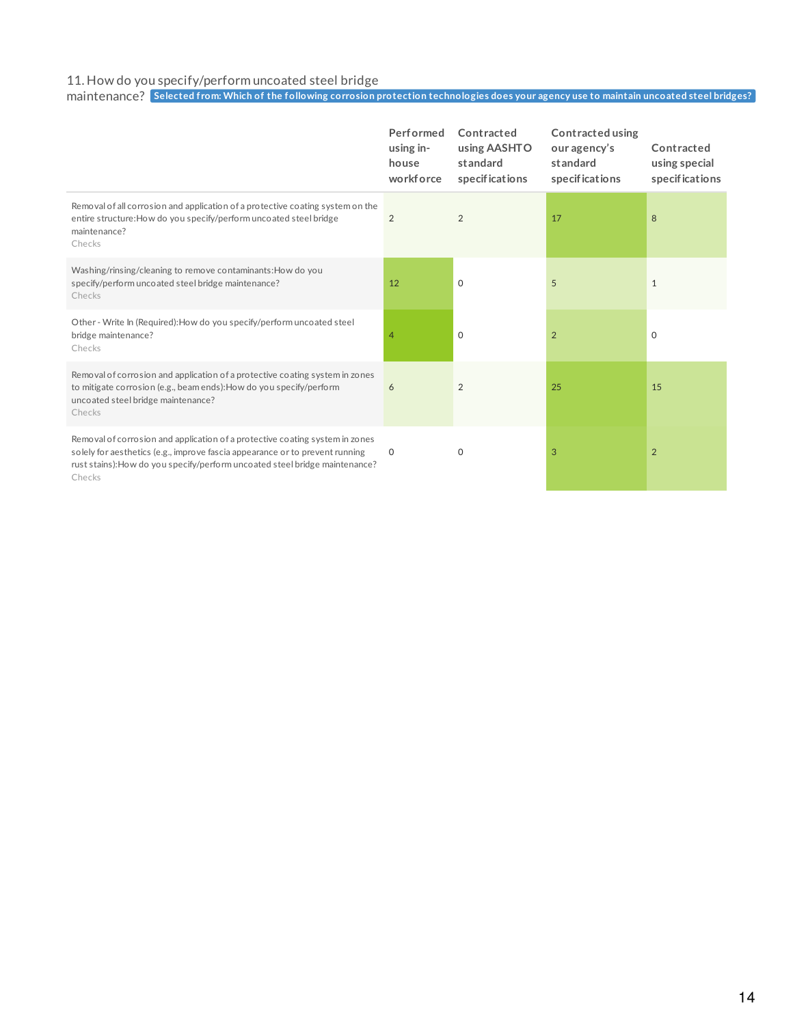#### 11. How do you specify/perform uncoated steel bridge

maintenance? Selected from: Which of the following corrosion protection technologies does your agency use to maintain uncoated steel bridges?

|                                                                                                                                                                                                                                                       | Performed<br>using in-<br>house<br>workforce | Contracted<br>using AASHTO<br>standard<br>specifications | <b>Contracted using</b><br>our agency's<br>standard<br>specifications | Contracted<br>using special<br>specifications |
|-------------------------------------------------------------------------------------------------------------------------------------------------------------------------------------------------------------------------------------------------------|----------------------------------------------|----------------------------------------------------------|-----------------------------------------------------------------------|-----------------------------------------------|
| Removal of all corrosion and application of a protective coating system on the<br>entire structure: How do you specify/perform uncoated steel bridge<br>maintenance?<br>Checks                                                                        | $\overline{2}$                               | 2                                                        | 17                                                                    | 8                                             |
| Washing/rinsing/cleaning to remove contaminants: How do you<br>specify/perform uncoated steel bridge maintenance?<br>Checks                                                                                                                           | 12                                           | $\mathbf 0$                                              | 5                                                                     | 1                                             |
| Other - Write In (Required): How do you specify/perform uncoated steel<br>bridge maintenance?<br>Checks                                                                                                                                               | 4                                            | $\mathbf 0$                                              | $\overline{2}$                                                        | $\mathbf 0$                                   |
| Removal of corrosion and application of a protective coating system in zones<br>to mitigate corrosion (e.g., beam ends): How do you specify/perform<br>uncoated steel bridge maintenance?<br>Checks                                                   | 6                                            | $\overline{2}$                                           | 25                                                                    | 15                                            |
| Removal of corrosion and application of a protective coating system in zones<br>solely for aesthetics (e.g., improve fascia appearance or to prevent running<br>rust stains): How do you specify/perform uncoated steel bridge maintenance?<br>Checks | 0                                            | 0                                                        | 3                                                                     | 2                                             |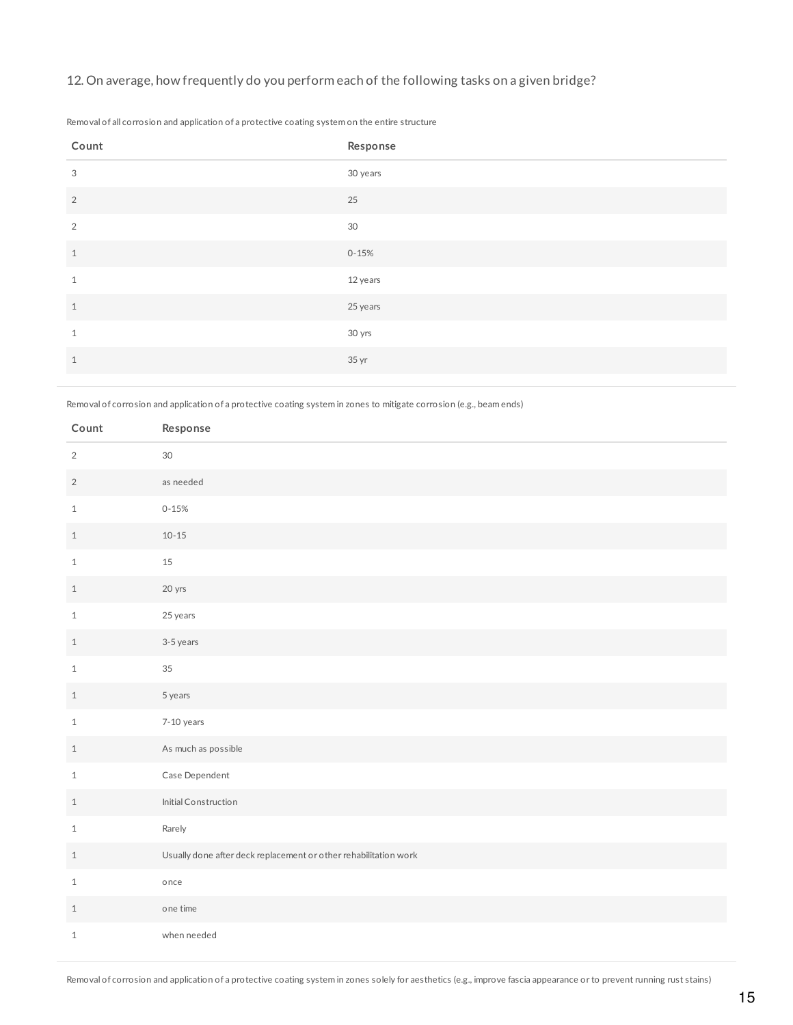## 12. On average, how frequently do you perform each of the following tasks on a given bridge?

| Count          | Response  |
|----------------|-----------|
| 3              | 30 years  |
| $\overline{2}$ | 25        |
| 2              | 30        |
| $\mathbf{1}$   | $0 - 15%$ |
| $\mathbf{1}$   | 12 years  |
| $\mathbf{1}$   | 25 years  |
| 1              | 30 yrs    |
| $\mathbf{1}$   | 35 yr     |

Removal of all corrosion and application of a protective coating system on the entire structure

Removal of corrosion and application of a protective coating system in zones to mitigate corrosion (e.g., beam ends)

| Count          | Response                                                         |
|----------------|------------------------------------------------------------------|
| $\overline{2}$ | $30\,$                                                           |
| $\overline{2}$ | as needed                                                        |
| $1\,$          | $0 - 15%$                                                        |
| $\mathbf{1}$   | $10 - 15$                                                        |
| $\mathbf{1}$   | 15                                                               |
| $\,1$          | 20 yrs                                                           |
| $\mathbf{1}$   | 25 years                                                         |
| $\mathbf{1}$   | 3-5 years                                                        |
| $\mathbf{1}$   | 35                                                               |
| $\,1$          | 5 years                                                          |
| $1\,$          | 7-10 years                                                       |
| $\mathbf{1}$   | As much as possible                                              |
| $\mathbf{1}$   | Case Dependent                                                   |
| $\mathbf{1}$   | Initial Construction                                             |
| $\mathbf{1}$   | Rarely                                                           |
| $\mathbf{1}$   | Usually done after deck replacement or other rehabilitation work |
| $\mathbf{1}$   | once                                                             |
| $\mathbf{1}$   | one time                                                         |
| $\mathbf{1}$   | when needed                                                      |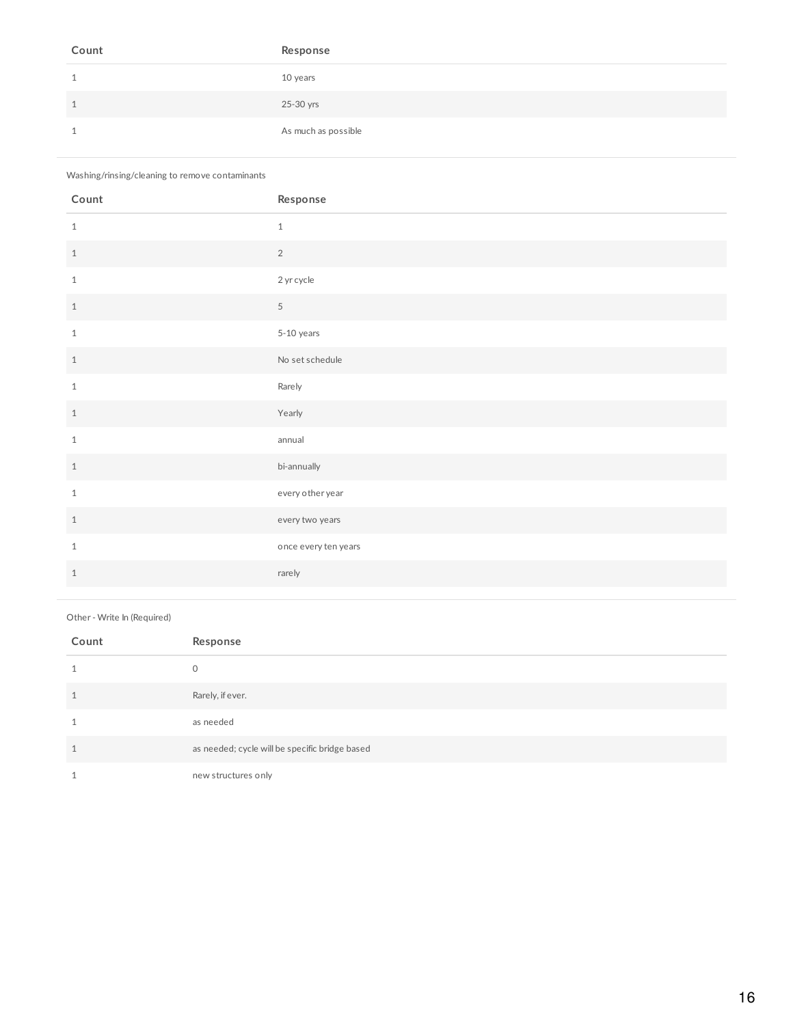| Count | Response            |
|-------|---------------------|
|       | 10 years            |
|       | 25-30 yrs           |
|       | As much as possible |

### Washing/rinsing/cleaning to remove contaminants

| Count        | Response             |
|--------------|----------------------|
| $\mathbf{1}$ | $1\,$                |
| $1\,$        | $\overline{2}$       |
| $\mathbf{1}$ | 2 yr cycle           |
| $1\,$        | $\overline{5}$       |
| $\mathbf{1}$ | 5-10 years           |
| $\mathbf{1}$ | No set schedule      |
| $\mathbf{1}$ | Rarely               |
| $1\,$        | Yearly               |
| $\mathbf{1}$ | annual               |
| $1\,$        | bi-annually          |
| $\mathbf{1}$ | every other year     |
| $\mathbf{1}$ | every two years      |
| $\mathbf{1}$ | once every ten years |
| $\mathbf{1}$ | rarely               |

#### Other - Write In (Required)

| Count | Response                                       |
|-------|------------------------------------------------|
|       | $\circ$                                        |
| -1    | Rarely, if ever.                               |
|       | as needed                                      |
|       | as needed; cycle will be specific bridge based |
|       | new structures only                            |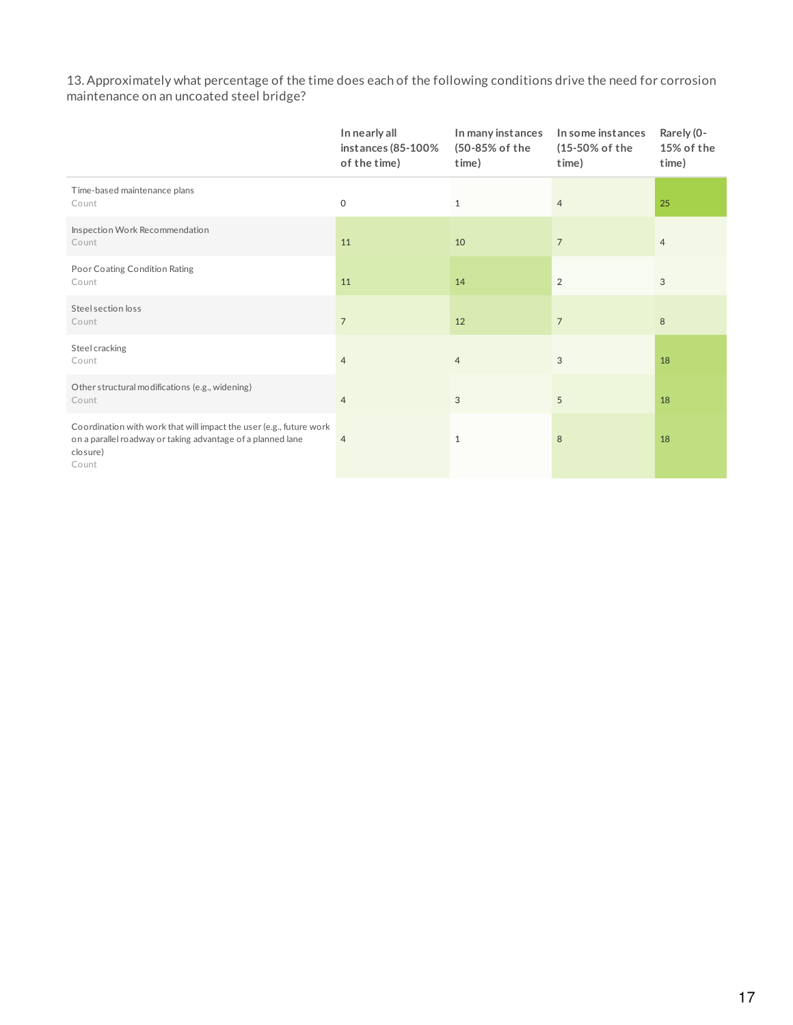13. Approximately what percentage of the time does each of the following conditions drive the need for corrosion maintenance on an uncoated steel bridge?

|                                                                                                                                                         | In nearly all<br>instances $(85-100\%$<br>of the time) | In many instances<br>(50-85% of the<br>time) | In some instances<br>(15-50% of the<br>time) | Rarely (0-<br>15% of the<br>time) |
|---------------------------------------------------------------------------------------------------------------------------------------------------------|--------------------------------------------------------|----------------------------------------------|----------------------------------------------|-----------------------------------|
| Time-based maintenance plans<br>Count                                                                                                                   | $\mathsf O$                                            | $\mathbf{1}$                                 | $\overline{4}$                               | 25                                |
| Inspection Work Recommendation<br>Count                                                                                                                 | 11                                                     | 10                                           | $\overline{7}$                               | $\overline{4}$                    |
| Poor Coating Condition Rating<br>Count                                                                                                                  | 11                                                     | 14                                           | 2                                            | 3                                 |
| Steel section loss<br>Count                                                                                                                             | $\overline{7}$                                         | 12                                           | $\overline{7}$                               | 8                                 |
| Steel cracking<br>Count                                                                                                                                 | $\overline{4}$                                         | $\overline{4}$                               | 3                                            | 18                                |
| Other structural modifications (e.g., widening)<br>Count                                                                                                | $\overline{4}$                                         | 3                                            | 5                                            | 18                                |
| Coordination with work that will impact the user (e.g., future work<br>on a parallel roadway or taking advantage of a planned lane<br>closure)<br>Count | $\overline{4}$                                         | 1                                            | 8                                            | 18                                |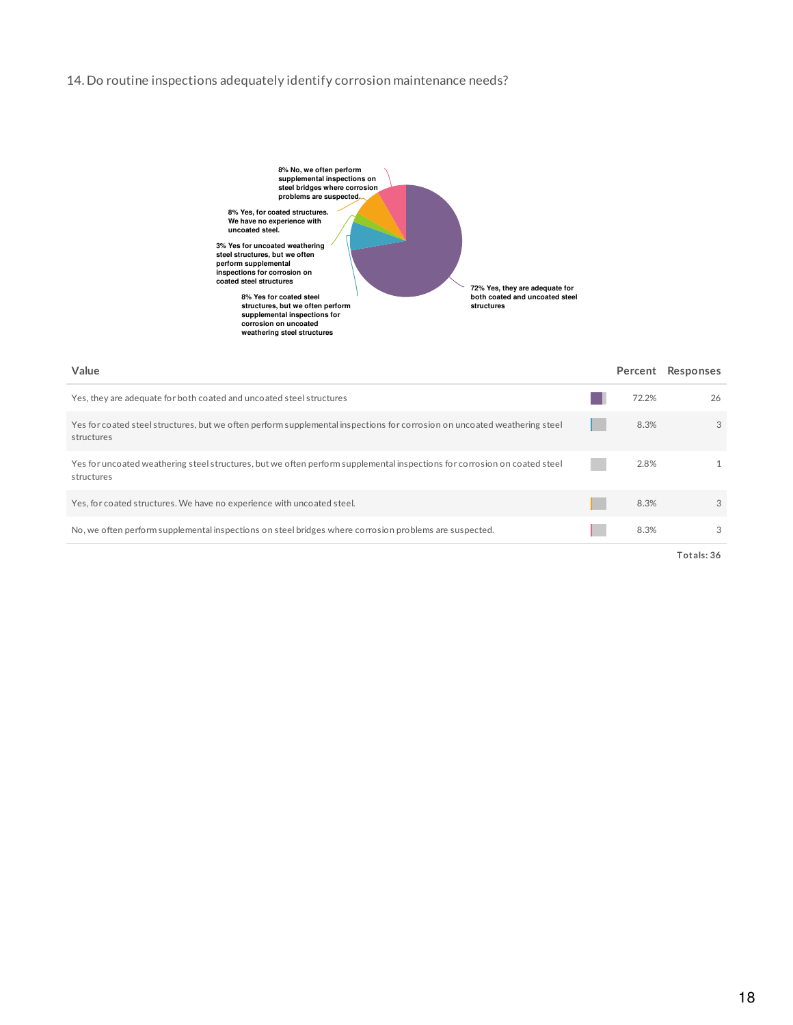### 14. Do routine inspections adequately identify corrosion maintenance needs?



| Value                                                                                                                                   |       | Percent Responses |
|-----------------------------------------------------------------------------------------------------------------------------------------|-------|-------------------|
| Yes, they are adequate for both coated and uncoated steel structures                                                                    | 72.2% | 26                |
| Yes for coated steel structures, but we often perform supplemental inspections for corrosion on uncoated weathering steel<br>structures | 8.3%  | 3                 |
| Yes for uncoated weathering steel structures, but we often perform supplemental inspections for corrosion on coated steel<br>structures | 2.8%  | $\mathbf{1}$      |
| Yes, for coated structures. We have no experience with uncoated steel.                                                                  | 8.3%  | $\mathcal{S}$     |
| No, we often perform supplemental inspections on steel bridges where corrosion problems are suspected.                                  | 8.3%  | 3                 |
|                                                                                                                                         |       | Totals: 36        |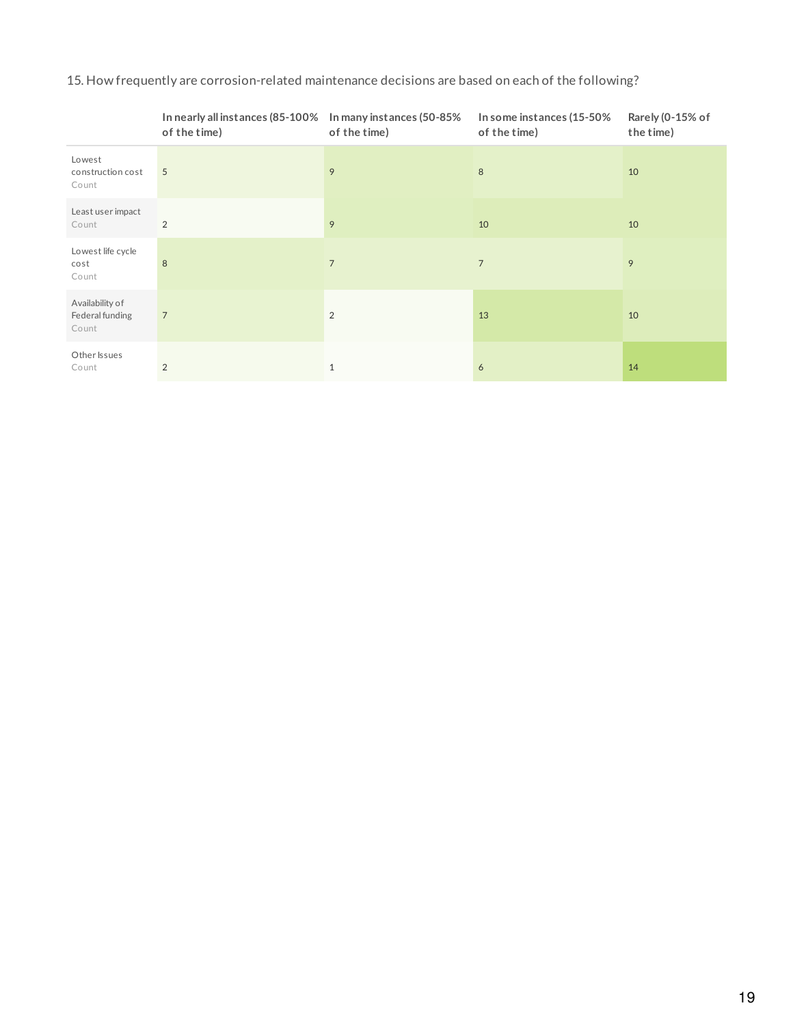# 15. How frequently are corrosion-related maintenance decisions are based on each of the following?

|                                             | In nearly all instances (85-100% In many instances (50-85%<br>of the time) | of the time)   | In some instances (15-50%<br>of the time) | Rarely (0-15% of<br>the time) |
|---------------------------------------------|----------------------------------------------------------------------------|----------------|-------------------------------------------|-------------------------------|
| Lowest<br>construction cost<br>Count        | 5                                                                          | 9              | 8                                         | 10                            |
| Least user impact<br>Count                  | 2                                                                          | 9              | 10                                        | 10                            |
| Lowest life cycle<br>cost<br>Count          | 8                                                                          | $\overline{7}$ | $\overline{7}$                            | 9                             |
| Availability of<br>Federal funding<br>Count | $\overline{7}$                                                             | 2              | 13                                        | 10                            |
| Other Issues<br>Count                       | 2                                                                          | $\mathbf{1}$   | 6                                         | 14                            |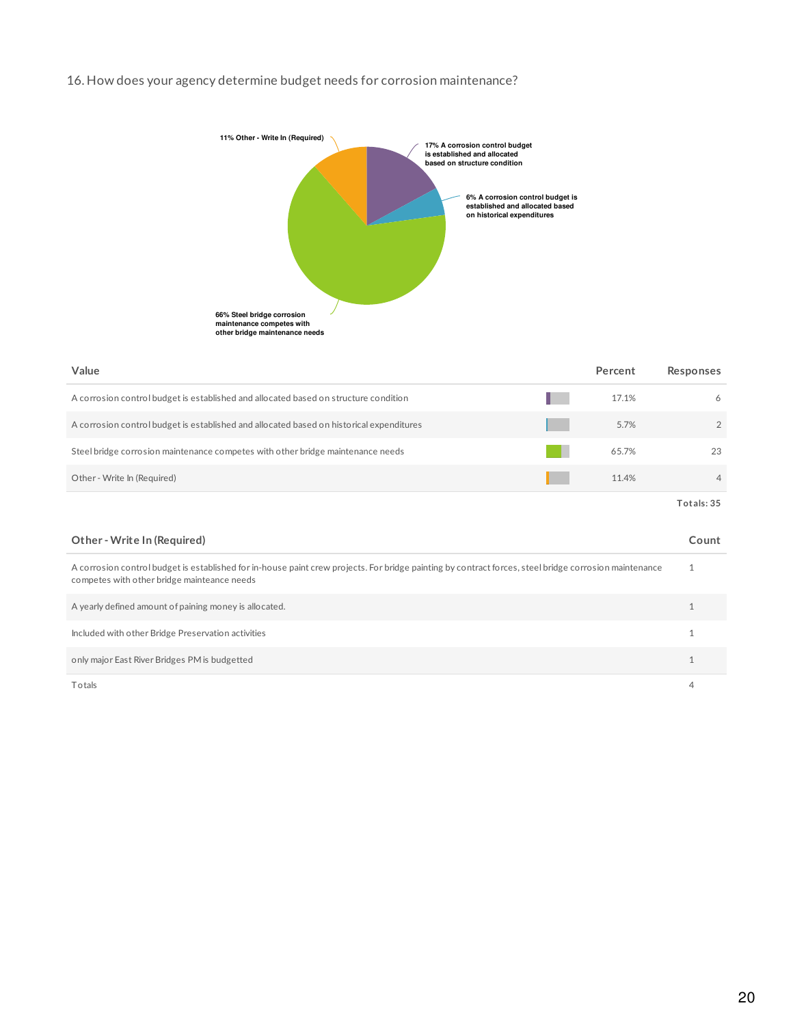## 16. How does your agency determine budget needs for corrosion maintenance?



| Value                                                                                    | Percent | Responses      |
|------------------------------------------------------------------------------------------|---------|----------------|
| A corrosion control budget is established and allocated based on structure condition     | 17.1%   | 6              |
| A corrosion control budget is established and allocated based on historical expenditures | 5.7%    | $\overline{2}$ |
| Steel bridge corrosion maintenance competes with other bridge maintenance needs          | 65.7%   | 23             |
| Other - Write In (Required)                                                              | 11.4%   | $\overline{4}$ |
|                                                                                          |         | Totals: 35     |

| Other - Write In (Required)                                                                                                                                                                           | Count |
|-------------------------------------------------------------------------------------------------------------------------------------------------------------------------------------------------------|-------|
| A corrosion control budget is established for in-house paint crew projects. For bridge painting by contract forces, steel bridge corrosion maintenance<br>competes with other bridge mainteance needs |       |
| A yearly defined amount of paining money is allocated.                                                                                                                                                |       |
| Included with other Bridge Preservation activities                                                                                                                                                    |       |
| only major East River Bridges PM is budgetted                                                                                                                                                         |       |
| Totals                                                                                                                                                                                                |       |

20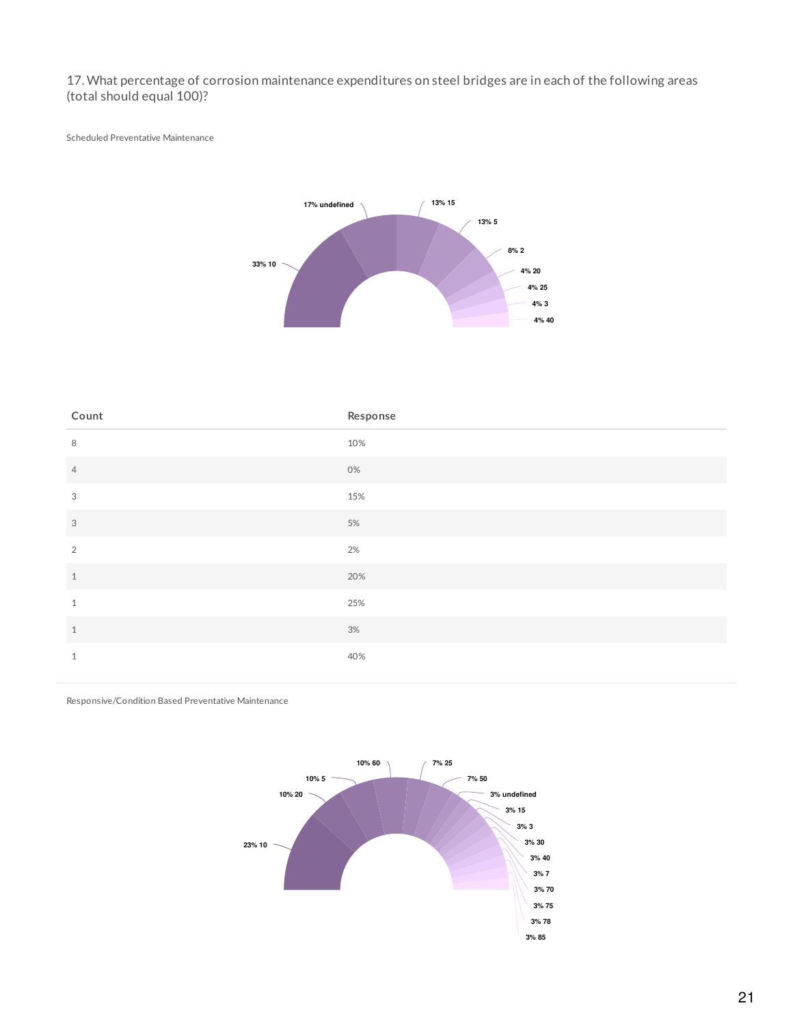17. What percentage of corrosion maintenance expenditures on steel bridges are in each of the following areas (total should equal 100)?

Scheduled Preventative Maintenance



| Count                     | Response |
|---------------------------|----------|
| $\,8\,$                   | 10%      |
| $\overline{4}$            | 0%       |
| $\mathcal{S}$             | 15%      |
| $\ensuremath{\mathsf{3}}$ | $5\%$    |
| $\overline{2}$            | $2\%$    |
| $\,1\,$                   | 20%      |
| $\,1\,$                   | 25%      |
| $1\,$                     | $3%$     |
| $\mathbf{1}$              | 40%      |

Responsive/Condition Based Preventative Maintenance

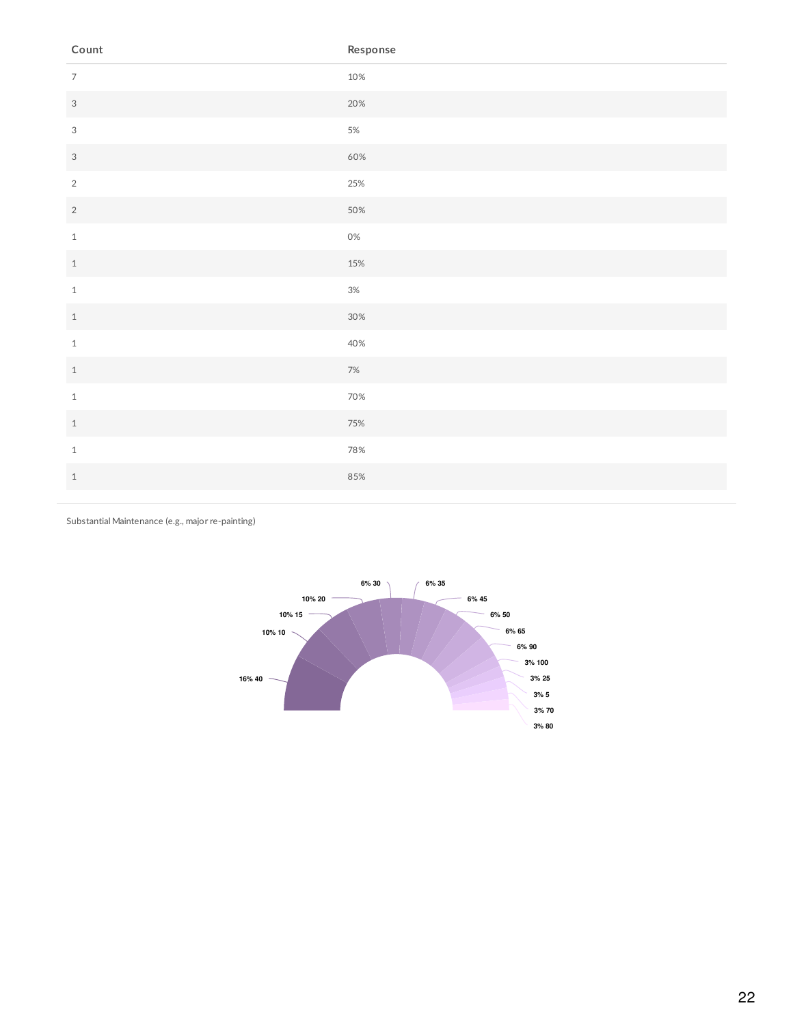| Count                     | Response |
|---------------------------|----------|
| $\overline{7}$            | 10%      |
| $\sqrt{3}$                | 20%      |
| $\ensuremath{\mathsf{3}}$ | $5\%$    |
| $\sqrt{3}$                | 60%      |
| $\sqrt{2}$                | 25%      |
| $\sqrt{2}$                | 50%      |
| $1\,$                     | $0\%$    |
| $\,1$                     | 15%      |
| $\,1\,$                   | $3\%$    |
| $\,1\,$                   | 30%      |
| $1\,$                     | 40%      |
| $\,1\,$                   | $7\%$    |
| $\,1\,$                   | 70%      |
| $\,1\,$                   | 75%      |
| $\,1\,$                   | 78%      |
| $\,1\,$                   | 85%      |
|                           |          |

Substantial Maintenance (e.g., major re-painting)

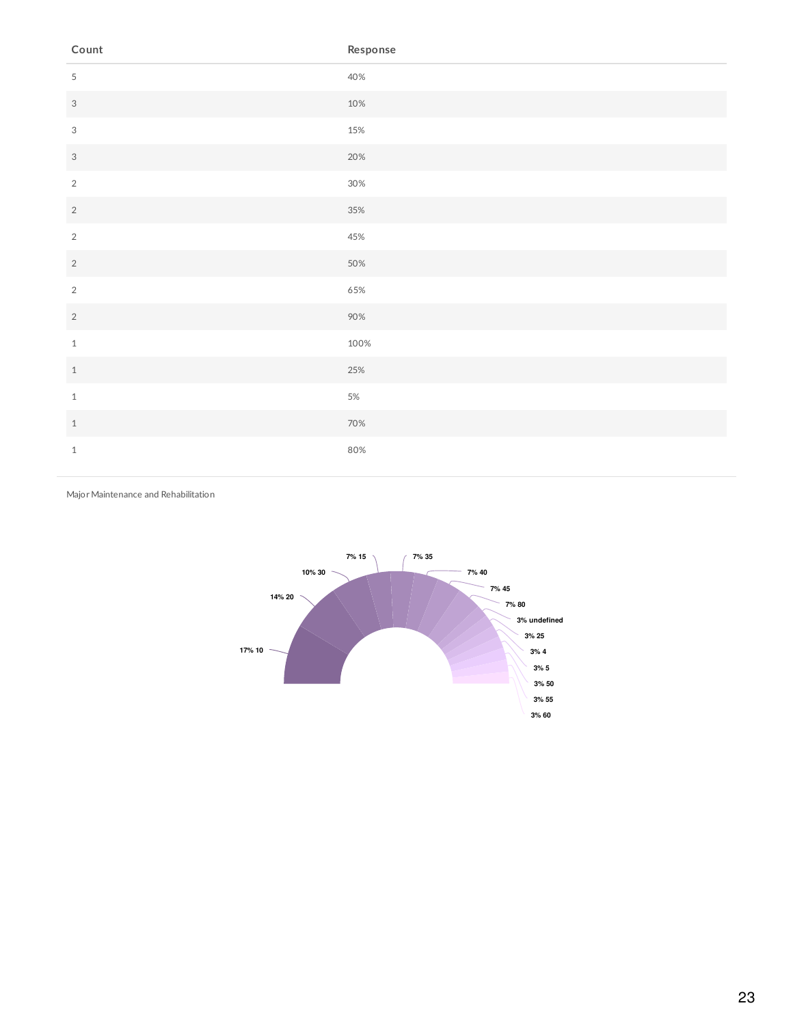| Count                     | Response |
|---------------------------|----------|
| $\overline{5}$            | 40%      |
| $\sqrt{3}$                | 10%      |
| $\ensuremath{\mathsf{3}}$ | 15%      |
| $\sqrt{3}$                | 20%      |
| $\sqrt{2}$                | $30\%$   |
| $\sqrt{2}$                | 35%      |
| $\overline{2}$            | 45%      |
| $\sqrt{2}$                | 50%      |
| $\sqrt{2}$                | 65%      |
| $\sqrt{2}$                | 90%      |
| $\,1\,$                   | 100%     |
| $\,1$                     | 25%      |
| $\,1\,$                   | $5\%$    |
| $\,1\,$                   | 70%      |
| $\,1\,$                   | 80%      |

Major Maintenance and Rehabilitation

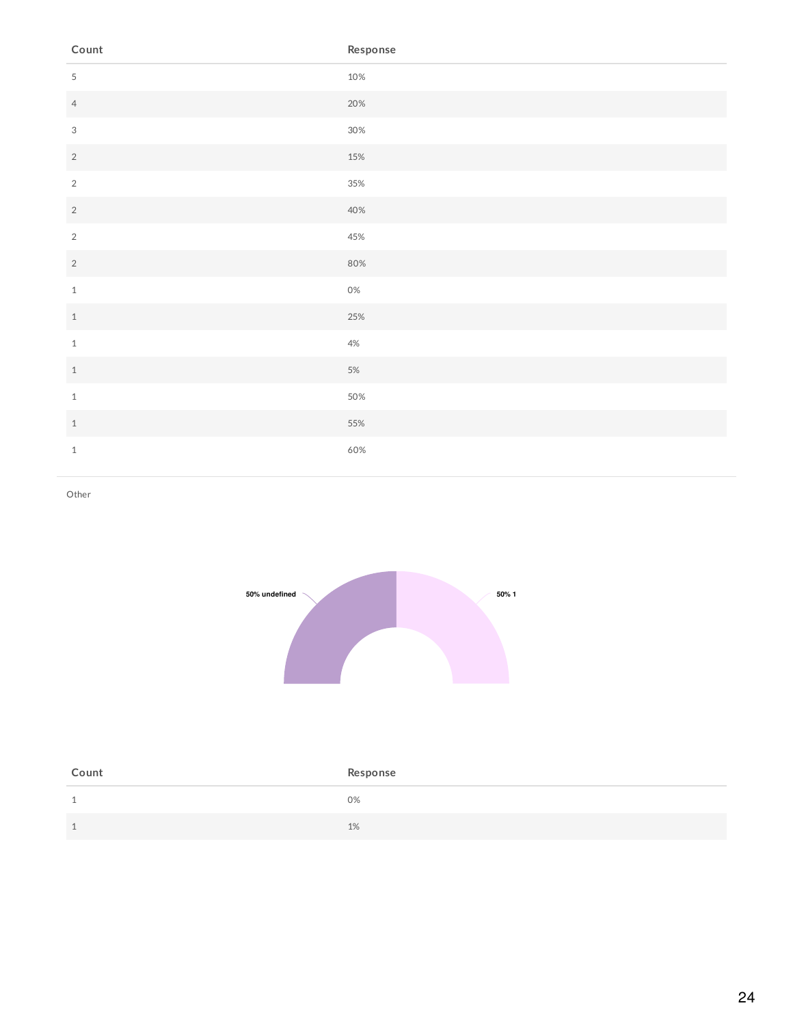| Count                     | Response |
|---------------------------|----------|
| $\sqrt{5}$                | 10%      |
| $\overline{4}$            | 20%      |
| $\ensuremath{\mathsf{3}}$ | 30%      |
| $\sqrt{2}$                | 15%      |
| $\sqrt{2}$                | 35%      |
| $\sqrt{2}$                | 40%      |
| $\sqrt{2}$                | 45%      |
| $\sqrt{2}$                | 80%      |
| $\,1\,$                   | $0\%$    |
| $\overline{1}$            | 25%      |
| $\,1\,$                   | $4%$     |
| $\,1\,$                   | $5\%$    |
| $\,1\,$                   | 50%      |
| $\,1\,$                   | 55%      |
| $\mathbf{1}$              | 60%      |

Other



| Count   | Response |
|---------|----------|
| -1<br>ᆚ | 0%       |
| -1      | 1%       |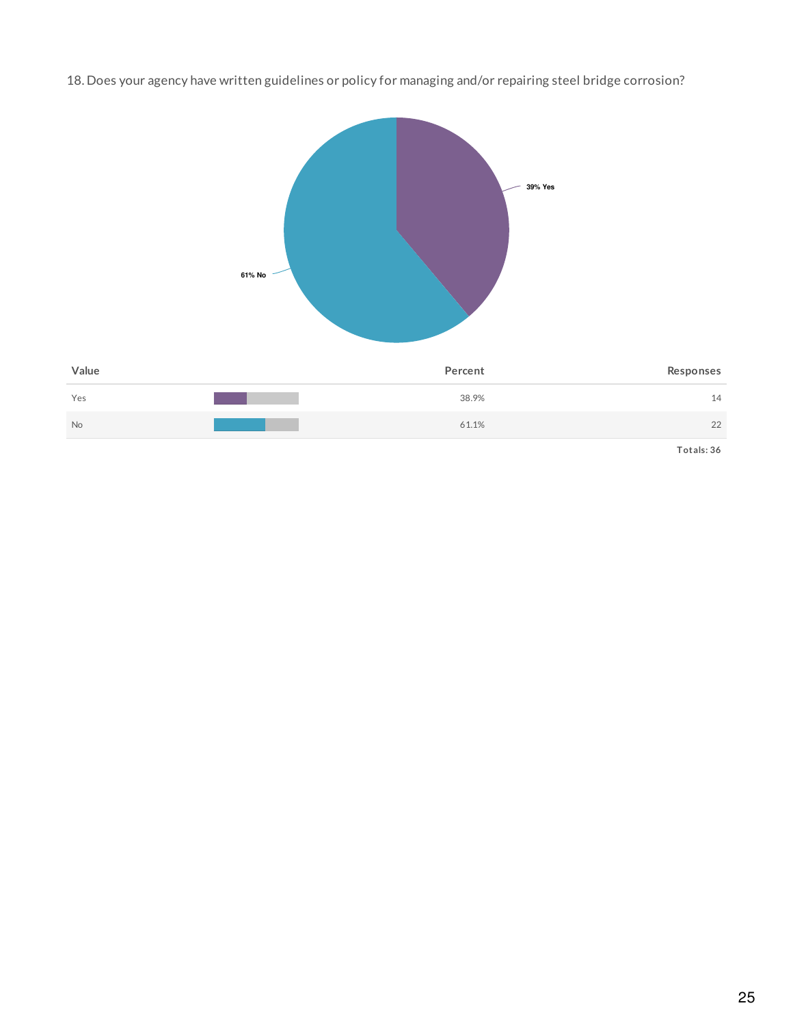18. Does your agency have written guidelines or policy for managing and/or repairing steel bridge corrosion?

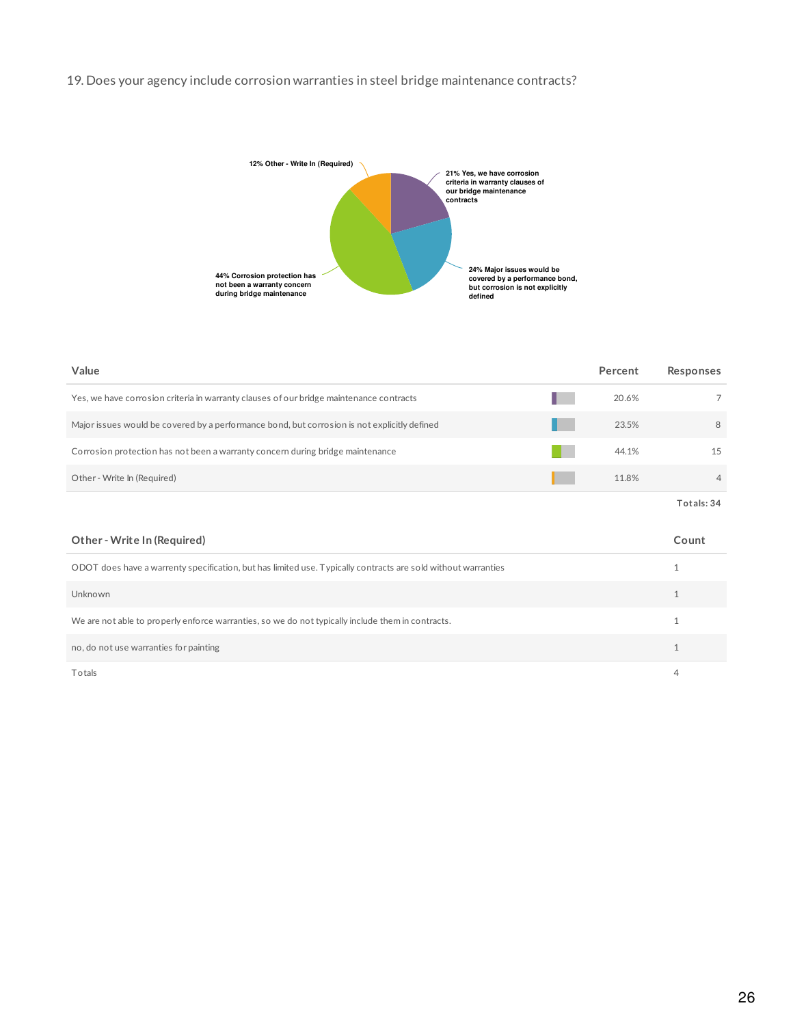## 19. Does your agency include corrosion warranties in steel bridge maintenance contracts?



| Value                                                                                        | Percent | Responses      |
|----------------------------------------------------------------------------------------------|---------|----------------|
| Yes, we have corrosion criteria in warranty clauses of our bridge maintenance contracts      | 20.6%   |                |
| Major issues would be covered by a performance bond, but corrosion is not explicitly defined | 23.5%   | 8              |
| Corrosion protection has not been a warranty concern during bridge maintenance               | 44.1%   | 15             |
| Other - Write In (Required)                                                                  | 11.8%   | $\overline{4}$ |
|                                                                                              |         | Totals: 34     |

| Other - Write In (Required)                                                                                   | Count |
|---------------------------------------------------------------------------------------------------------------|-------|
| ODOT does have a warrenty specification, but has limited use. Typically contracts are sold without warranties |       |
| Unknown                                                                                                       |       |
| We are not able to properly enforce warranties, so we do not typically include them in contracts.             |       |
| no, do not use warranties for painting                                                                        |       |
| Totals                                                                                                        | 4     |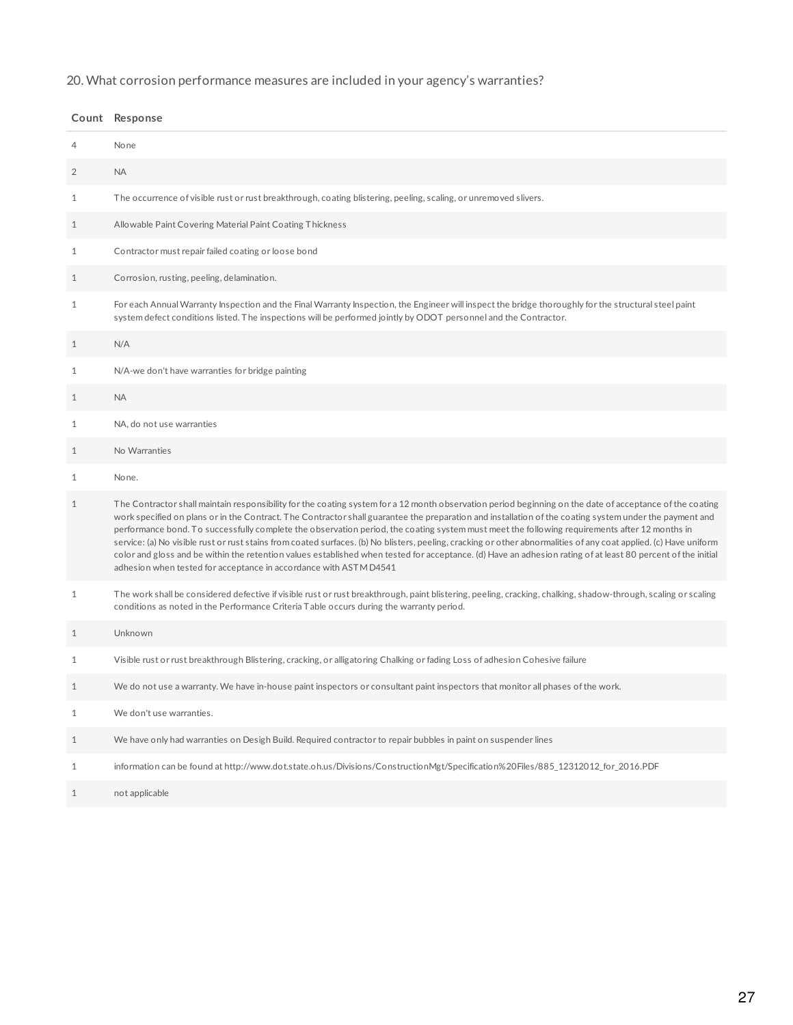# 20. What corrosion performance measures are included in your agency's warranties?

|              | Count Response                                                                                                                                                                                                                                                                                                                                                                                                                                                                                                                                                                                                                                                                                                                                                                                                                                                                 |
|--------------|--------------------------------------------------------------------------------------------------------------------------------------------------------------------------------------------------------------------------------------------------------------------------------------------------------------------------------------------------------------------------------------------------------------------------------------------------------------------------------------------------------------------------------------------------------------------------------------------------------------------------------------------------------------------------------------------------------------------------------------------------------------------------------------------------------------------------------------------------------------------------------|
| 4            | None                                                                                                                                                                                                                                                                                                                                                                                                                                                                                                                                                                                                                                                                                                                                                                                                                                                                           |
| 2            | <b>NA</b>                                                                                                                                                                                                                                                                                                                                                                                                                                                                                                                                                                                                                                                                                                                                                                                                                                                                      |
| 1            | The occurrence of visible rust or rust breakthrough, coating blistering, peeling, scaling, or unremoved slivers.                                                                                                                                                                                                                                                                                                                                                                                                                                                                                                                                                                                                                                                                                                                                                               |
| 1            | Allowable Paint Covering Material Paint Coating Thickness                                                                                                                                                                                                                                                                                                                                                                                                                                                                                                                                                                                                                                                                                                                                                                                                                      |
| $\mathbf{1}$ | Contractor must repair failed coating or loose bond                                                                                                                                                                                                                                                                                                                                                                                                                                                                                                                                                                                                                                                                                                                                                                                                                            |
| $\mathbf{1}$ | Corrosion, rusting, peeling, delamination.                                                                                                                                                                                                                                                                                                                                                                                                                                                                                                                                                                                                                                                                                                                                                                                                                                     |
| $\mathbf{1}$ | For each Annual Warranty Inspection and the Final Warranty Inspection, the Engineer will inspect the bridge thoroughly for the structural steel paint<br>system defect conditions listed. The inspections will be performed jointly by ODOT personnel and the Contractor.                                                                                                                                                                                                                                                                                                                                                                                                                                                                                                                                                                                                      |
| $\mathbf{1}$ | N/A                                                                                                                                                                                                                                                                                                                                                                                                                                                                                                                                                                                                                                                                                                                                                                                                                                                                            |
| 1            | N/A-we don't have warranties for bridge painting                                                                                                                                                                                                                                                                                                                                                                                                                                                                                                                                                                                                                                                                                                                                                                                                                               |
| 1            | <b>NA</b>                                                                                                                                                                                                                                                                                                                                                                                                                                                                                                                                                                                                                                                                                                                                                                                                                                                                      |
| 1            | NA, do not use warranties                                                                                                                                                                                                                                                                                                                                                                                                                                                                                                                                                                                                                                                                                                                                                                                                                                                      |
| 1            | No Warranties                                                                                                                                                                                                                                                                                                                                                                                                                                                                                                                                                                                                                                                                                                                                                                                                                                                                  |
| 1            | None.                                                                                                                                                                                                                                                                                                                                                                                                                                                                                                                                                                                                                                                                                                                                                                                                                                                                          |
| $\mathbf{1}$ | The Contractor shall maintain responsibility for the coating system for a 12 month observation period beginning on the date of acceptance of the coating<br>work specified on plans or in the Contract. The Contractor shall guarantee the preparation and installation of the coating system under the payment and<br>performance bond. To successfully complete the observation period, the coating system must meet the following requirements after 12 months in<br>service: (a) No visible rust or rust stains from coated surfaces. (b) No blisters, peeling, cracking or other abnormalities of any coat applied. (c) Have uniform<br>color and gloss and be within the retention values established when tested for acceptance. (d) Have an adhesion rating of at least 80 percent of the initial<br>adhesion when tested for acceptance in accordance with ASTM D4541 |
| $\mathbf{1}$ | The work shall be considered defective if visible rust or rust breakthrough, paint blistering, peeling, cracking, chalking, shadow-through, scaling or scaling<br>conditions as noted in the Performance Criteria Table occurs during the warranty period.                                                                                                                                                                                                                                                                                                                                                                                                                                                                                                                                                                                                                     |
| 1            | Unknown                                                                                                                                                                                                                                                                                                                                                                                                                                                                                                                                                                                                                                                                                                                                                                                                                                                                        |
| 1            | Visible rust or rust breakthrough Blistering, cracking, or alligatoring Chalking or fading Loss of adhesion Cohesive failure                                                                                                                                                                                                                                                                                                                                                                                                                                                                                                                                                                                                                                                                                                                                                   |
| 1            | We do not use a warranty. We have in-house paint inspectors or consultant paint inspectors that monitor all phases of the work.                                                                                                                                                                                                                                                                                                                                                                                                                                                                                                                                                                                                                                                                                                                                                |
| $\mathbf{1}$ | We don't use warranties.                                                                                                                                                                                                                                                                                                                                                                                                                                                                                                                                                                                                                                                                                                                                                                                                                                                       |
| $\mathbf{1}$ | We have only had warranties on Desigh Build. Required contractor to repair bubbles in paint on suspender lines                                                                                                                                                                                                                                                                                                                                                                                                                                                                                                                                                                                                                                                                                                                                                                 |
| $\mathbf{1}$ | information can be found at http://www.dot.state.oh.us/Divisions/ConstructionMgt/Specification%20Files/885_12312012_for_2016.PDF                                                                                                                                                                                                                                                                                                                                                                                                                                                                                                                                                                                                                                                                                                                                               |
| $\mathbf{1}$ | not applicable                                                                                                                                                                                                                                                                                                                                                                                                                                                                                                                                                                                                                                                                                                                                                                                                                                                                 |

##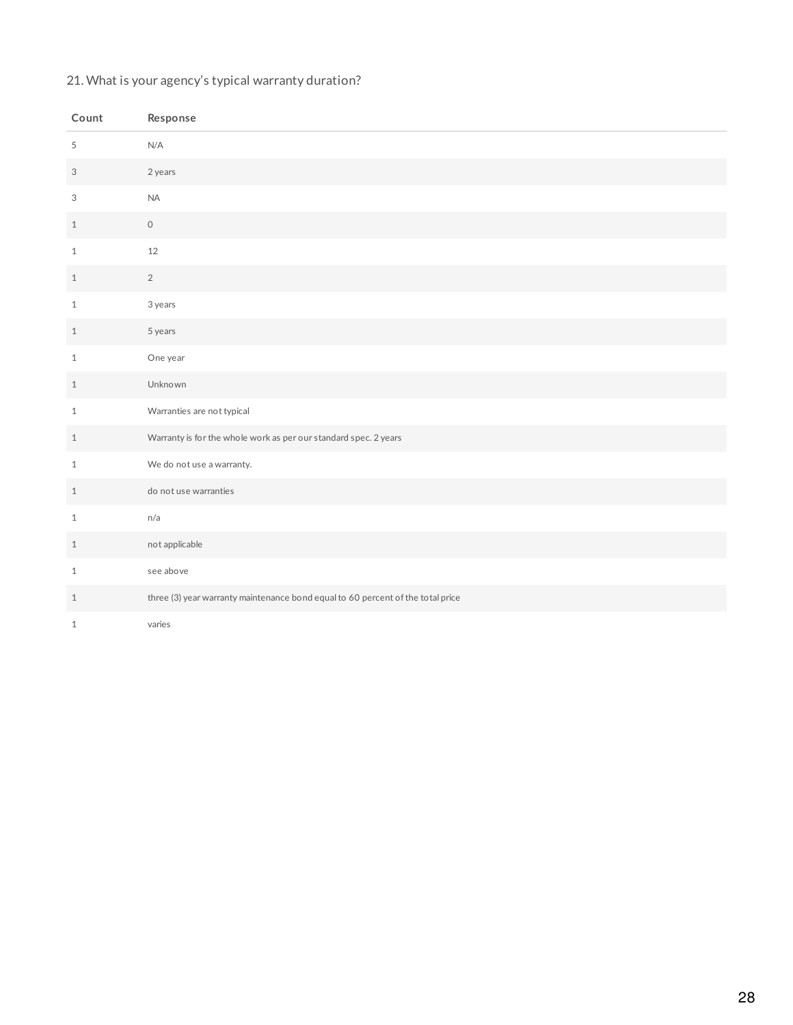## 21. What is your agency's typical warranty duration?

| Count                     | Response                                                                        |
|---------------------------|---------------------------------------------------------------------------------|
| 5                         | N/A                                                                             |
| $\ensuremath{\mathsf{3}}$ | 2 years                                                                         |
| 3                         | <b>NA</b>                                                                       |
| $\mathbf{1}$              | $\circ$                                                                         |
| $\mathbf 1$               | 12                                                                              |
| $\mathbf{1}$              | $\overline{2}$                                                                  |
| $\mathbf{1}$              | 3 years                                                                         |
| $\mathbf{1}$              | 5 years                                                                         |
| $\mathbf{1}$              | One year                                                                        |
| $\mathbf{1}$              | Unknown                                                                         |
| $\mathbf{1}$              | Warranties are not typical                                                      |
| $\mathbf{1}$              | Warranty is for the whole work as per our standard spec. 2 years                |
| $1\,$                     | We do not use a warranty.                                                       |
| $\mathbf{1}$              | do not use warranties                                                           |
| $\mathbf{1}$              | n/a                                                                             |
| $\mathbf{1}$              | not applicable                                                                  |
| $\mathbf{1}$              | see above                                                                       |
| $1\,$                     | three (3) year warranty maintenance bond equal to 60 percent of the total price |
| $1\,$                     | varies                                                                          |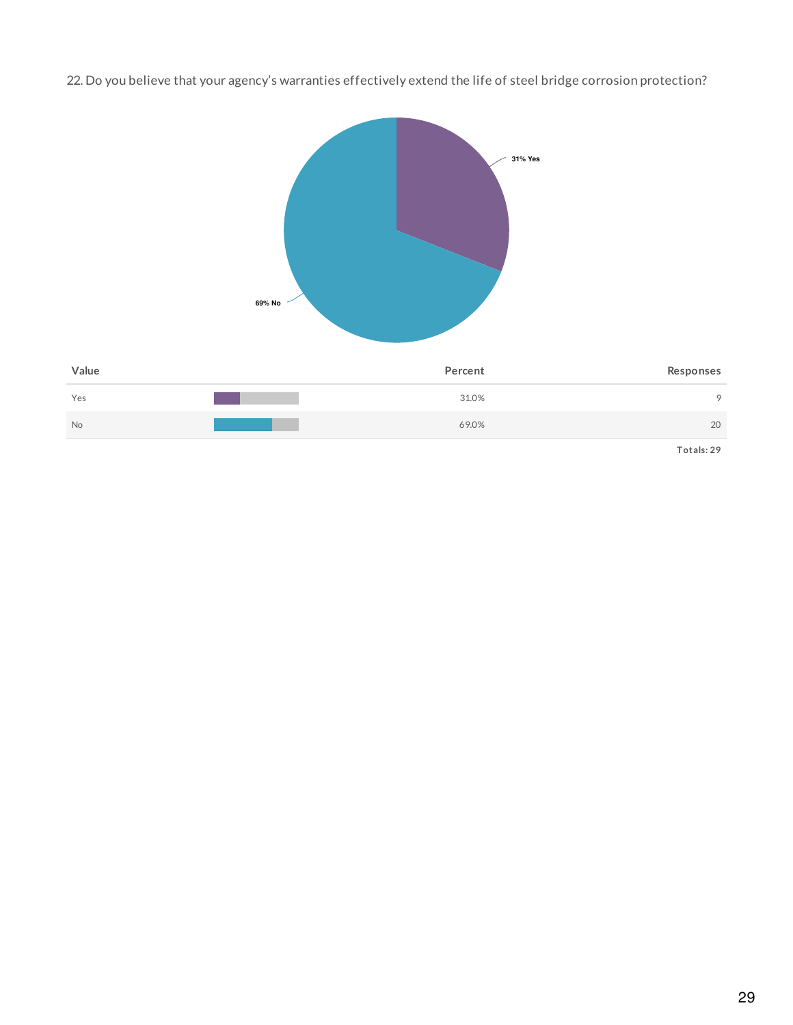22. Do you believe that your agency's warranties effectively extend the life of steel bridge corrosion protection?

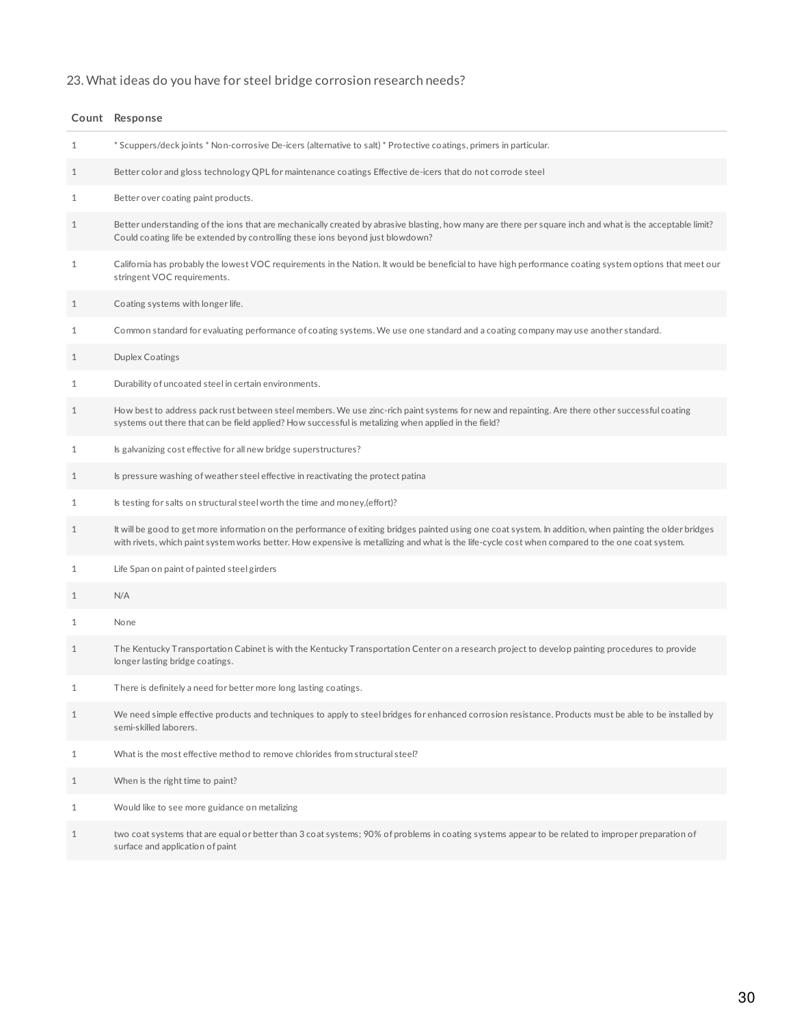# 23. What ideas do you have for steel bridge corrosion research needs?

|              | Count Response                                                                                                                                                                                                                                                                                                |
|--------------|---------------------------------------------------------------------------------------------------------------------------------------------------------------------------------------------------------------------------------------------------------------------------------------------------------------|
| 1            | * Scuppers/deck joints * Non-corrosive De-icers (alternative to salt) * Protective coatings, primers in particular.                                                                                                                                                                                           |
| $\mathbf{1}$ | Better color and gloss technology QPL for maintenance coatings Effective de-icers that do not corrode steel                                                                                                                                                                                                   |
| 1            | Better over coating paint products.                                                                                                                                                                                                                                                                           |
| 1            | Better understanding of the ions that are mechanically created by abrasive blasting, how many are there per square inch and what is the acceptable limit?<br>Could coating life be extended by controlling these ions beyond just blowdown?                                                                   |
| $\mathbf{1}$ | California has probably the lowest VOC requirements in the Nation. It would be beneficial to have high performance coating system options that meet our<br>stringent VOC requirements.                                                                                                                        |
| $\mathbf{1}$ | Coating systems with longer life.                                                                                                                                                                                                                                                                             |
| 1            | Common standard for evaluating performance of coating systems. We use one standard and a coating company may use another standard.                                                                                                                                                                            |
| $\mathbf{1}$ | <b>Duplex Coatings</b>                                                                                                                                                                                                                                                                                        |
| 1            | Durability of uncoated steel in certain environments.                                                                                                                                                                                                                                                         |
| 1            | How best to address pack rust between steel members. We use zinc-rich paint systems for new and repainting. Are there other successful coating<br>systems out there that can be field applied? How successful is metalizing when applied in the field?                                                        |
| $\mathbf{1}$ | Is galvanizing cost effective for all new bridge superstructures?                                                                                                                                                                                                                                             |
| 1            | Is pressure washing of weather steel effective in reactivating the protect patina                                                                                                                                                                                                                             |
| 1            | Is testing for salts on structural steel worth the time and money, (effort)?                                                                                                                                                                                                                                  |
| $\mathbf{1}$ | It will be good to get more information on the performance of exiting bridges painted using one coat system. In addition, when painting the older bridges<br>with rivets, which paint system works better. How expensive is metallizing and what is the life-cycle cost when compared to the one coat system. |
| $\mathbf{1}$ | Life Span on paint of painted steel girders                                                                                                                                                                                                                                                                   |
| 1            | N/A                                                                                                                                                                                                                                                                                                           |
| $\mathbf{1}$ | None                                                                                                                                                                                                                                                                                                          |
| 1            | The Kentucky Transportation Cabinet is with the Kentucky Transportation Center on a research project to develop painting procedures to provide<br>longer lasting bridge coatings.                                                                                                                             |
| 1            | There is definitely a need for better more long lasting coatings.                                                                                                                                                                                                                                             |
| $\mathbf{1}$ | We need simple effective products and techniques to apply to steel bridges for enhanced corrosion resistance. Products must be able to be installed by<br>semi-skilled laborers.                                                                                                                              |
| $\mathbf{1}$ | What is the most effective method to remove chlorides from structural steel?                                                                                                                                                                                                                                  |
| $\mathbf{1}$ | When is the right time to paint?                                                                                                                                                                                                                                                                              |
| $\mathbf 1$  | Would like to see more guidance on metalizing                                                                                                                                                                                                                                                                 |
| $\mathbf{1}$ | two coat systems that are equal or better than 3 coat systems; 90% of problems in coating systems appear to be related to improper preparation of<br>surface and application of paint                                                                                                                         |
|              |                                                                                                                                                                                                                                                                                                               |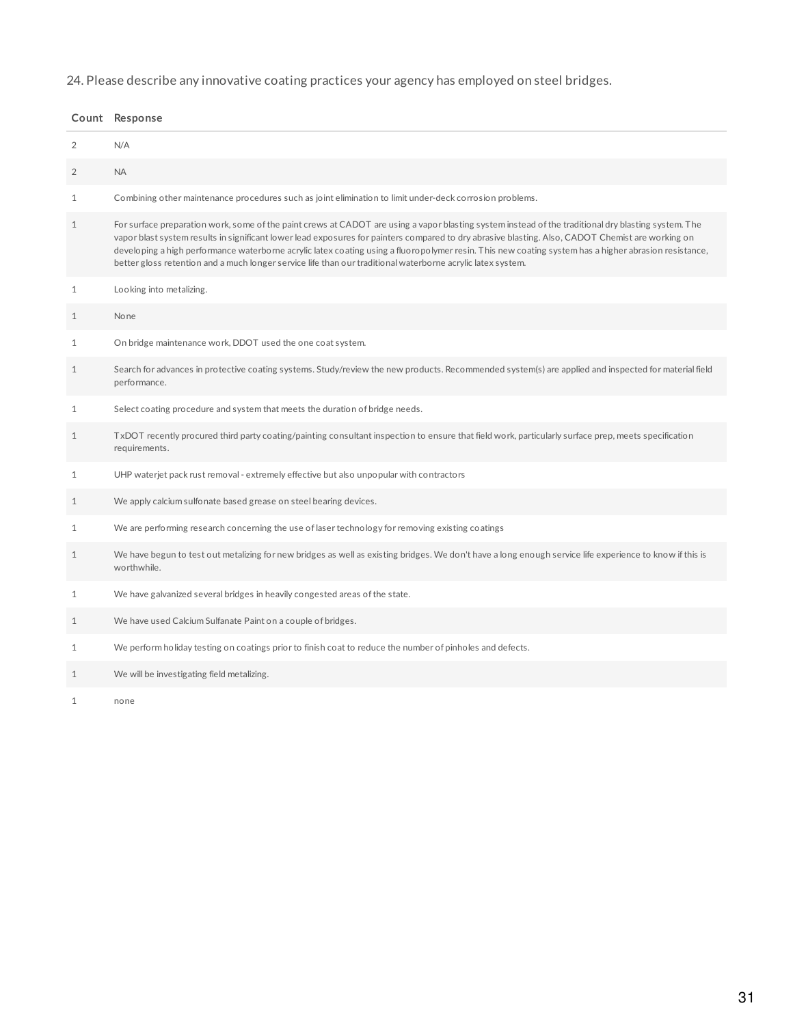24. Please describe any innovative coating practices your agency has employed on steel bridges.

|                | Count Response                                                                                                                                                                                                                                                                                                                                                                                                                                                                                                                                                                    |
|----------------|-----------------------------------------------------------------------------------------------------------------------------------------------------------------------------------------------------------------------------------------------------------------------------------------------------------------------------------------------------------------------------------------------------------------------------------------------------------------------------------------------------------------------------------------------------------------------------------|
| 2              | N/A                                                                                                                                                                                                                                                                                                                                                                                                                                                                                                                                                                               |
| $\overline{2}$ | <b>NA</b>                                                                                                                                                                                                                                                                                                                                                                                                                                                                                                                                                                         |
| $\mathbf{1}$   | Combining other maintenance procedures such as joint elimination to limit under-deck corrosion problems.                                                                                                                                                                                                                                                                                                                                                                                                                                                                          |
| $\mathbf{1}$   | For surface preparation work, some of the paint crews at CADOT are using a vapor blasting system instead of the traditional dry blasting system. The<br>vapor blast system results in significant lower lead exposures for painters compared to dry abrasive blasting. Also, CADOT Chemist are working on<br>developing a high performance waterborne acrylic latex coating using a fluoropolymer resin. This new coating system has a higher abrasion resistance,<br>better gloss retention and a much longer service life than our traditional waterborne acrylic latex system. |
| 1              | Looking into metalizing.                                                                                                                                                                                                                                                                                                                                                                                                                                                                                                                                                          |
| $\mathbf{1}$   | None                                                                                                                                                                                                                                                                                                                                                                                                                                                                                                                                                                              |
| $\mathbf{1}$   | On bridge maintenance work, DDOT used the one coat system.                                                                                                                                                                                                                                                                                                                                                                                                                                                                                                                        |
| $\mathbf{1}$   | Search for advances in protective coating systems. Study/review the new products. Recommended system(s) are applied and inspected for material field<br>performance.                                                                                                                                                                                                                                                                                                                                                                                                              |
| $\mathbf{1}$   | Select coating procedure and system that meets the duration of bridge needs.                                                                                                                                                                                                                                                                                                                                                                                                                                                                                                      |
| $\mathbf{1}$   | TxDOT recently procured third party coating/painting consultant inspection to ensure that field work, particularly surface prep, meets specification<br>requirements.                                                                                                                                                                                                                                                                                                                                                                                                             |
| $\mathbf{1}$   | UHP waterjet pack rust removal - extremely effective but also unpopular with contractors                                                                                                                                                                                                                                                                                                                                                                                                                                                                                          |
| $\mathbf{1}$   | We apply calcium sulfonate based grease on steel bearing devices.                                                                                                                                                                                                                                                                                                                                                                                                                                                                                                                 |
| $\mathbf{1}$   | We are performing research concerning the use of laser technology for removing existing coatings                                                                                                                                                                                                                                                                                                                                                                                                                                                                                  |
| $\mathbf{1}$   | We have begun to test out metalizing for new bridges as well as existing bridges. We don't have a long enough service life experience to know if this is<br>worthwhile.                                                                                                                                                                                                                                                                                                                                                                                                           |
| $\mathbf{1}$   | We have galvanized several bridges in heavily congested areas of the state.                                                                                                                                                                                                                                                                                                                                                                                                                                                                                                       |
| $\mathbf{1}$   | We have used Calcium Sulfanate Paint on a couple of bridges.                                                                                                                                                                                                                                                                                                                                                                                                                                                                                                                      |
| $\mathbf{1}$   | We perform holiday testing on coatings prior to finish coat to reduce the number of pinholes and defects.                                                                                                                                                                                                                                                                                                                                                                                                                                                                         |
| $\mathbf{1}$   | We will be investigating field metalizing.                                                                                                                                                                                                                                                                                                                                                                                                                                                                                                                                        |

none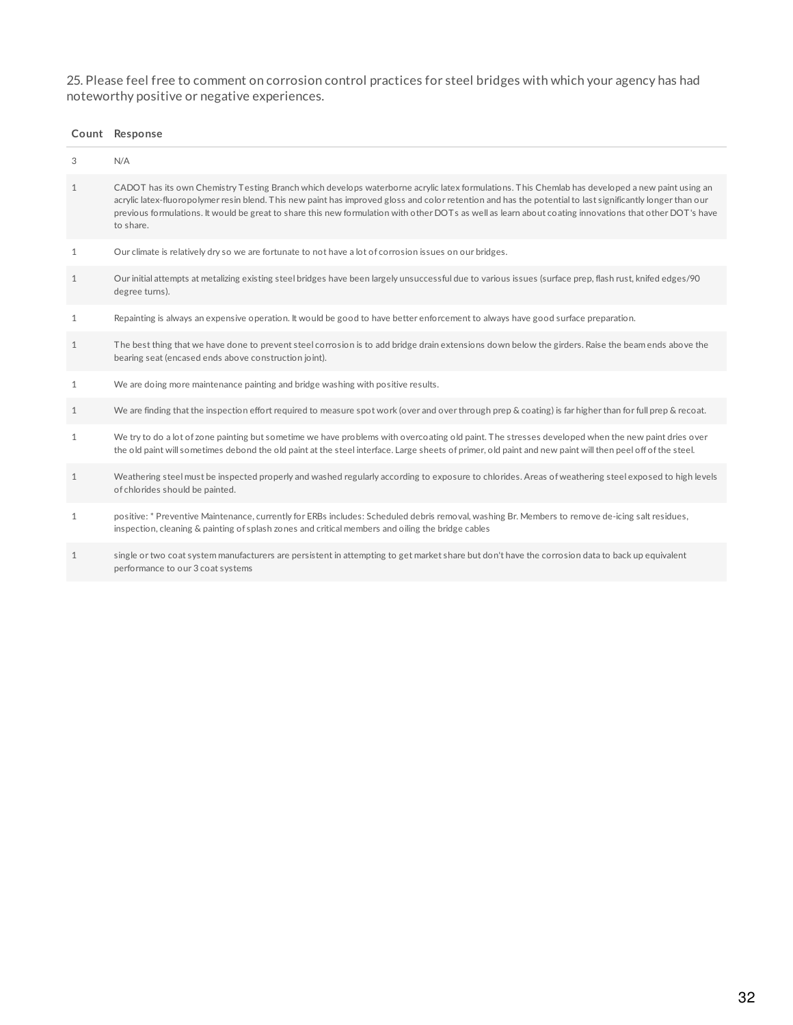25. Please feel free to comment on corrosion control practices for steel bridges with which your agency has had noteworthy positive or negative experiences.

| Count | Response |
|-------|----------|
|-------|----------|

| 3            | N/A                                                                                                                                                                                                                                                                                                                                                                                                                                                                                    |
|--------------|----------------------------------------------------------------------------------------------------------------------------------------------------------------------------------------------------------------------------------------------------------------------------------------------------------------------------------------------------------------------------------------------------------------------------------------------------------------------------------------|
| $\mathbf{1}$ | CADOT has its own Chemistry Testing Branch which develops waterborne acrylic latex formulations. This Chemlab has developed a new paint using an<br>acrylic latex-fluoropolymer resin blend. This new paint has improved gloss and color retention and has the potential to last significantly longer than our<br>previous formulations. It would be great to share this new formulation with other DOTs as well as learn about coating innovations that other DOT's have<br>to share. |
| $\mathbf{1}$ | Our climate is relatively dry so we are fortunate to not have a lot of corrosion issues on our bridges.                                                                                                                                                                                                                                                                                                                                                                                |
| $\mathbf{1}$ | Our initial attempts at metalizing existing steel bridges have been largely unsuccessful due to various issues (surface prep, flash rust, knifed edges/90<br>degree turns).                                                                                                                                                                                                                                                                                                            |
| 1            | Repainting is always an expensive operation. It would be good to have better enforcement to always have good surface preparation.                                                                                                                                                                                                                                                                                                                                                      |
| $\mathbf{1}$ | The best thing that we have done to prevent steel corrosion is to add bridge drain extensions down below the girders. Raise the beam ends above the<br>bearing seat (encased ends above construction joint).                                                                                                                                                                                                                                                                           |
| $\mathbf{1}$ | We are doing more maintenance painting and bridge washing with positive results.                                                                                                                                                                                                                                                                                                                                                                                                       |
| $\mathbf{1}$ | We are finding that the inspection effort required to measure spot work (over and over through prep & coating) is far higher than for full prep & recoat.                                                                                                                                                                                                                                                                                                                              |
| $\mathbf{1}$ | We try to do a lot of zone painting but sometime we have problems with overcoating old paint. The stresses developed when the new paint dries over<br>the old paint will sometimes debond the old paint at the steel interface. Large sheets of primer, old paint and new paint will then peel off of the steel.                                                                                                                                                                       |
| 1            | Weathering steel must be inspected properly and washed regularly according to exposure to chlorides. Areas of weathering steel exposed to high levels<br>of chlorides should be painted.                                                                                                                                                                                                                                                                                               |
| 1            | positive: * Preventive Maintenance, currently for ERBs includes: Scheduled debris removal, washing Br. Members to remove de-icing salt residues,<br>inspection, cleaning & painting of splash zones and critical members and oiling the bridge cables                                                                                                                                                                                                                                  |
| 1            | single or two coat system manufacturers are persistent in attempting to get market share but don't have the corrosion data to back up equivalent<br>performance to our 3 coat systems                                                                                                                                                                                                                                                                                                  |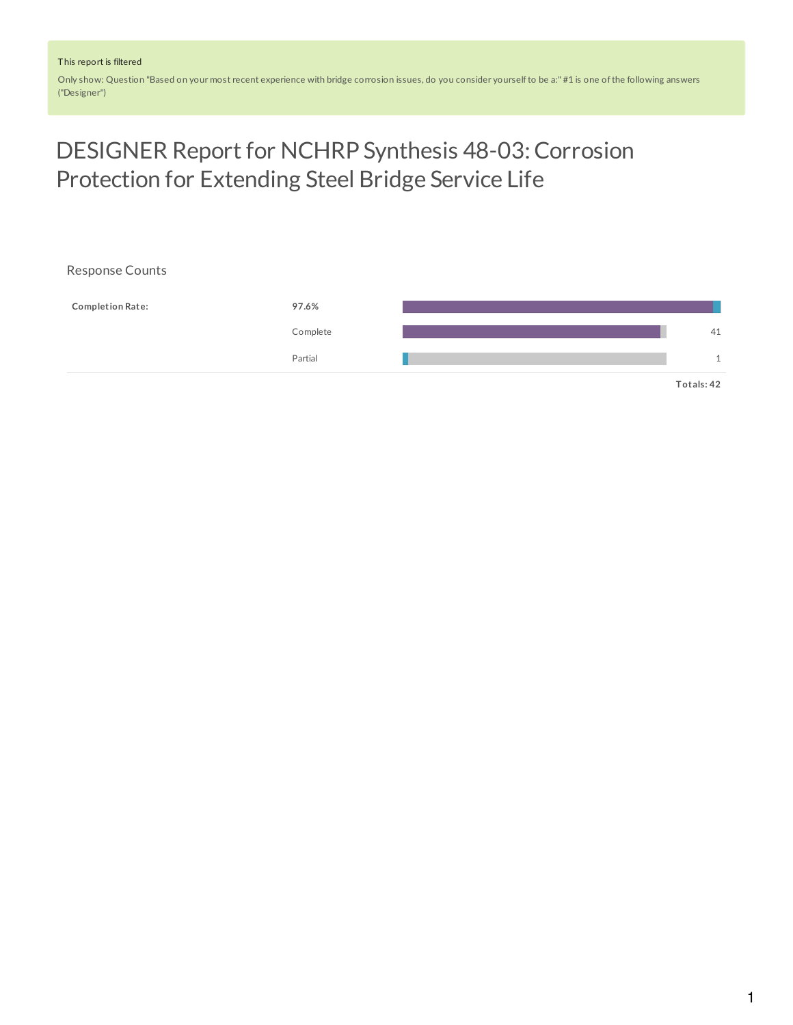Only show: Question "Based on your most recent experience with bridge corrosion issues, do you consider yourselfto be a:" #1 is one ofthe following answers ("Designer")

# DESIGNER Report for NCHRP Synthesis 48-03: Corrosion Protection for Extending Steel Bridge Service Life

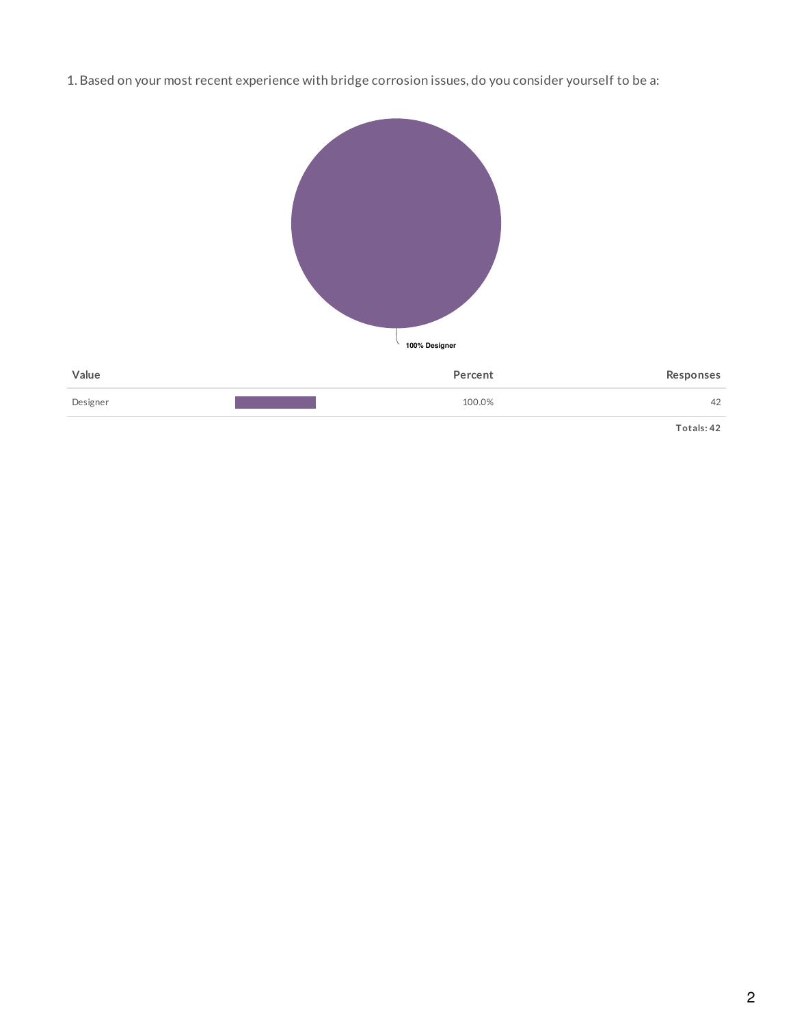1. Based on your most recent experience with bridge corrosion issues, do you consider yourself to be a:



**Totals: 42**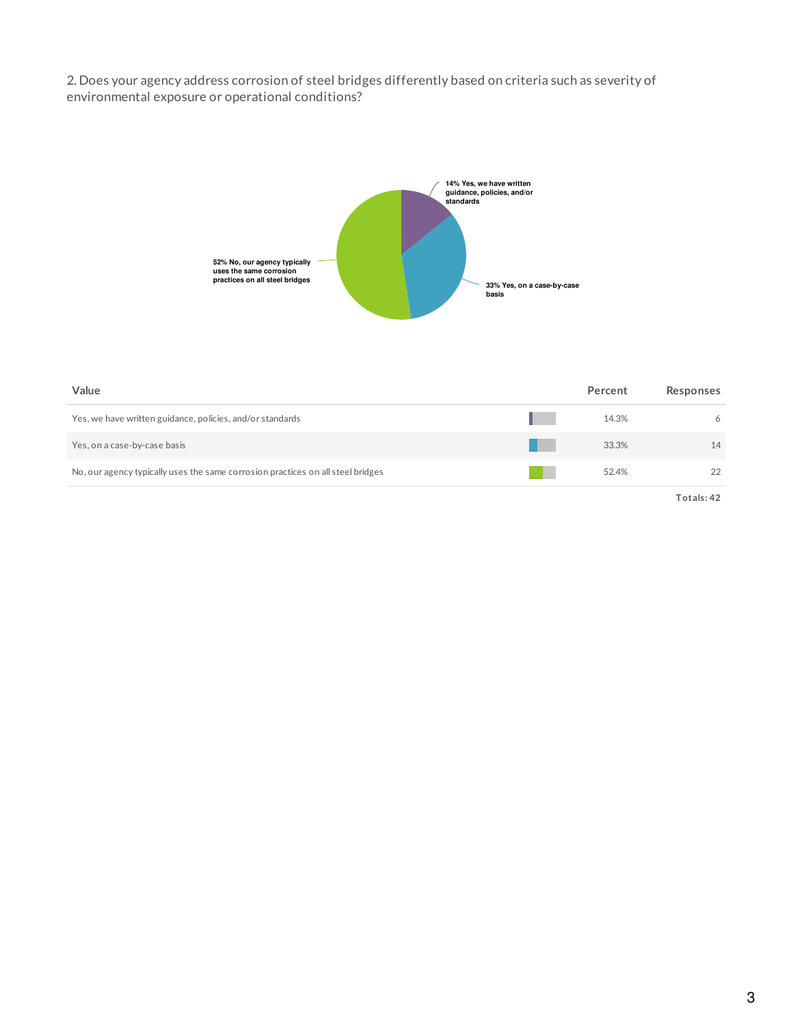2. Does your agency address corrosion of steel bridges differently based on criteria such as severity of environmental exposure or operational conditions?



| Value                                                                           | Percent | Responses  |
|---------------------------------------------------------------------------------|---------|------------|
| Yes, we have written guidance, policies, and/or standards                       | 14.3%   | 6          |
| Yes, on a case-by-case basis                                                    | 33.3%   | 14         |
| No, our agency typically uses the same corrosion practices on all steel bridges | 52.4%   | 22         |
|                                                                                 |         | Totals: 42 |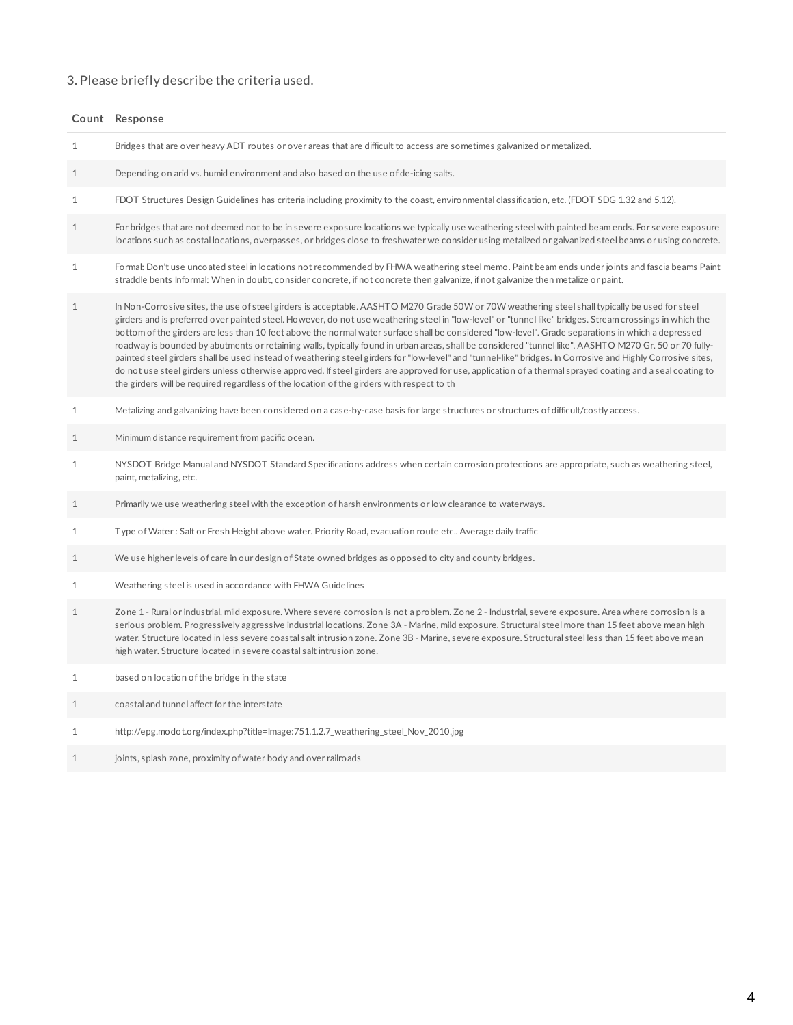### 3. Please briefly describe the criteria used.

|              | Count Response                                                                                                                                                                                                                                                                                                                                                                                                                                                                                                                                                                                                                                                                                                                                                                                                                                                                                                                                                                                                                                       |
|--------------|------------------------------------------------------------------------------------------------------------------------------------------------------------------------------------------------------------------------------------------------------------------------------------------------------------------------------------------------------------------------------------------------------------------------------------------------------------------------------------------------------------------------------------------------------------------------------------------------------------------------------------------------------------------------------------------------------------------------------------------------------------------------------------------------------------------------------------------------------------------------------------------------------------------------------------------------------------------------------------------------------------------------------------------------------|
| $\mathbf{1}$ | Bridges that are over heavy ADT routes or over areas that are difficult to access are sometimes galvanized or metalized.                                                                                                                                                                                                                                                                                                                                                                                                                                                                                                                                                                                                                                                                                                                                                                                                                                                                                                                             |
| $\mathbf{1}$ | Depending on arid vs. humid environment and also based on the use of de-icing salts.                                                                                                                                                                                                                                                                                                                                                                                                                                                                                                                                                                                                                                                                                                                                                                                                                                                                                                                                                                 |
| $\mathbf{1}$ | FDOT Structures Design Guidelines has criteria including proximity to the coast, environmental classification, etc. (FDOT SDG 1.32 and 5.12).                                                                                                                                                                                                                                                                                                                                                                                                                                                                                                                                                                                                                                                                                                                                                                                                                                                                                                        |
| $\mathbf{1}$ | For bridges that are not deemed not to be in severe exposure locations we typically use weathering steel with painted beam ends. For severe exposure<br>locations such as costal locations, overpasses, or bridges close to freshwater we consider using metalized or galvanized steel beams or using concrete.                                                                                                                                                                                                                                                                                                                                                                                                                                                                                                                                                                                                                                                                                                                                      |
| $\mathbf{1}$ | Formal: Don't use uncoated steel in locations not recommended by FHWA weathering steel memo. Paint beam ends under joints and fascia beams Paint<br>straddle bents Informal: When in doubt, consider concrete, if not concrete then galvanize, if not galvanize then metalize or paint.                                                                                                                                                                                                                                                                                                                                                                                                                                                                                                                                                                                                                                                                                                                                                              |
| $\mathbf{1}$ | In Non-Corrosive sites, the use of steel girders is acceptable. AASHTO M270 Grade 50W or 70W weathering steel shall typically be used for steel<br>girders and is preferred over painted steel. However, do not use weathering steel in "low-level" or "tunnel like" bridges. Stream crossings in which the<br>bottom of the girders are less than 10 feet above the normal water surface shall be considered "low-level". Grade separations in which a depressed<br>roadway is bounded by abutments or retaining walls, typically found in urban areas, shall be considered "tunnel like". AASHTO M270 Gr. 50 or 70 fully-<br>painted steel girders shall be used instead of weathering steel girders for "low-level" and "tunnel-like" bridges. In Corrosive and Highly Corrosive sites,<br>do not use steel girders unless otherwise approved. If steel girders are approved for use, application of a thermal sprayed coating and a seal coating to<br>the girders will be required regardless of the location of the girders with respect to th |
| 1            | Metalizing and galvanizing have been considered on a case-by-case basis for large structures or structures of difficult/costly access.                                                                                                                                                                                                                                                                                                                                                                                                                                                                                                                                                                                                                                                                                                                                                                                                                                                                                                               |
| $\mathbf{1}$ | Minimum distance requirement from pacific ocean.                                                                                                                                                                                                                                                                                                                                                                                                                                                                                                                                                                                                                                                                                                                                                                                                                                                                                                                                                                                                     |
| 1            | NYSDOT Bridge Manual and NYSDOT Standard Specifications address when certain corrosion protections are appropriate, such as weathering steel,<br>paint, metalizing, etc.                                                                                                                                                                                                                                                                                                                                                                                                                                                                                                                                                                                                                                                                                                                                                                                                                                                                             |
| $\mathbf{1}$ | Primarily we use weathering steel with the exception of harsh environments or low clearance to waterways.                                                                                                                                                                                                                                                                                                                                                                                                                                                                                                                                                                                                                                                                                                                                                                                                                                                                                                                                            |
| $\mathbf{1}$ | Type of Water: Salt or Fresh Height above water. Priority Road, evacuation route etc Average daily traffic                                                                                                                                                                                                                                                                                                                                                                                                                                                                                                                                                                                                                                                                                                                                                                                                                                                                                                                                           |
|              |                                                                                                                                                                                                                                                                                                                                                                                                                                                                                                                                                                                                                                                                                                                                                                                                                                                                                                                                                                                                                                                      |

- 1 We use higher levels of care in our design of State owned bridges as opposed to city and county bridges.
- 1 Weathering steel is used in accordance with FHWA Guidelines
- 1 Zone 1 Rural or industrial, mild exposure. Where severe corrosion is not a problem. Zone 2 Industrial, severe exposure. Area where corrosion is a serious problem. Progressively aggressive industrial locations. Zone 3A - Marine, mild exposure. Structural steel more than 15 feet above mean high water. Structure located in less severe coastal salt intrusion zone. Zone 3B - Marine, severe exposure. Structural steel less than 15 feet above mean high water. Structure located in severe coastal salt intrusion zone.
- 1 based on location ofthe bridge in the state
- 1 coastal and tunnel affect for the interstate
- 1 http://epg.modot.org/index.php?title=Image:751.1.2.7\_weathering\_steel\_Nov\_2010.jpg
- 1 joints, splash zone, proximity of water body and over railroads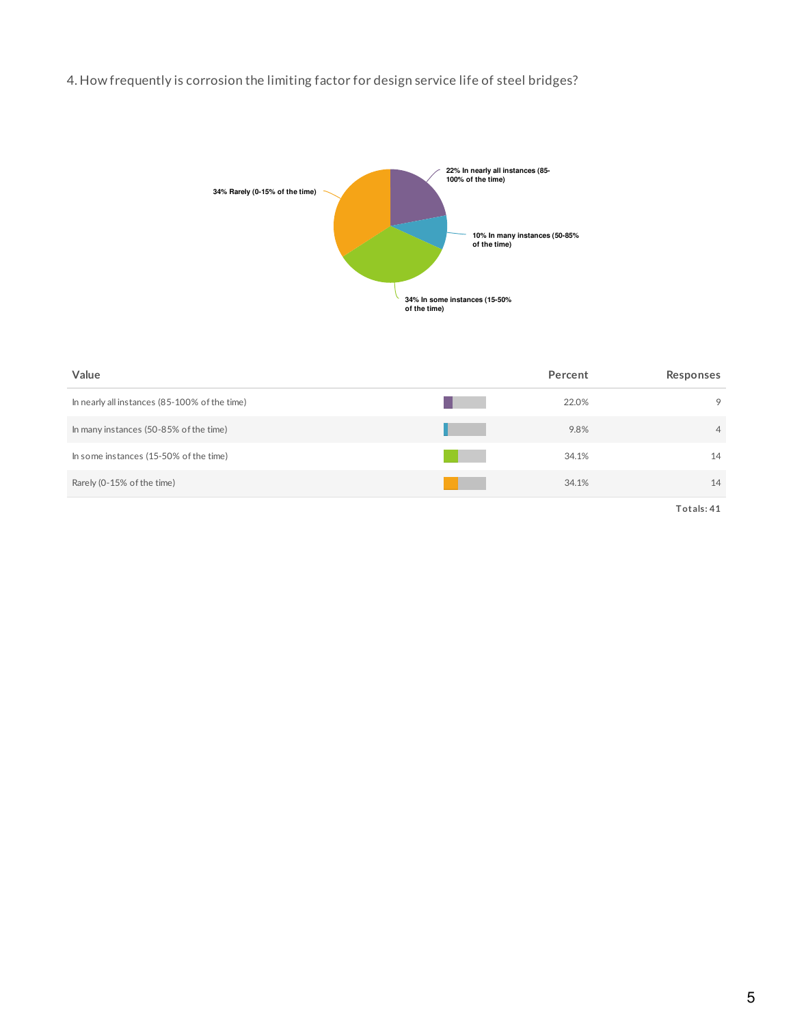## 4. How frequently is corrosion the limiting factor for design service life of steel bridges?



| Value                                         | Percent | Responses      |
|-----------------------------------------------|---------|----------------|
| In nearly all instances (85-100% of the time) | 22.0%   | 9              |
| In many instances (50-85% of the time)        | 9.8%    | $\overline{4}$ |
| In some instances (15-50% of the time)        | 34.1%   | 14             |
| Rarely (0-15% of the time)                    | 34.1%   | 14             |

**Totals: 41**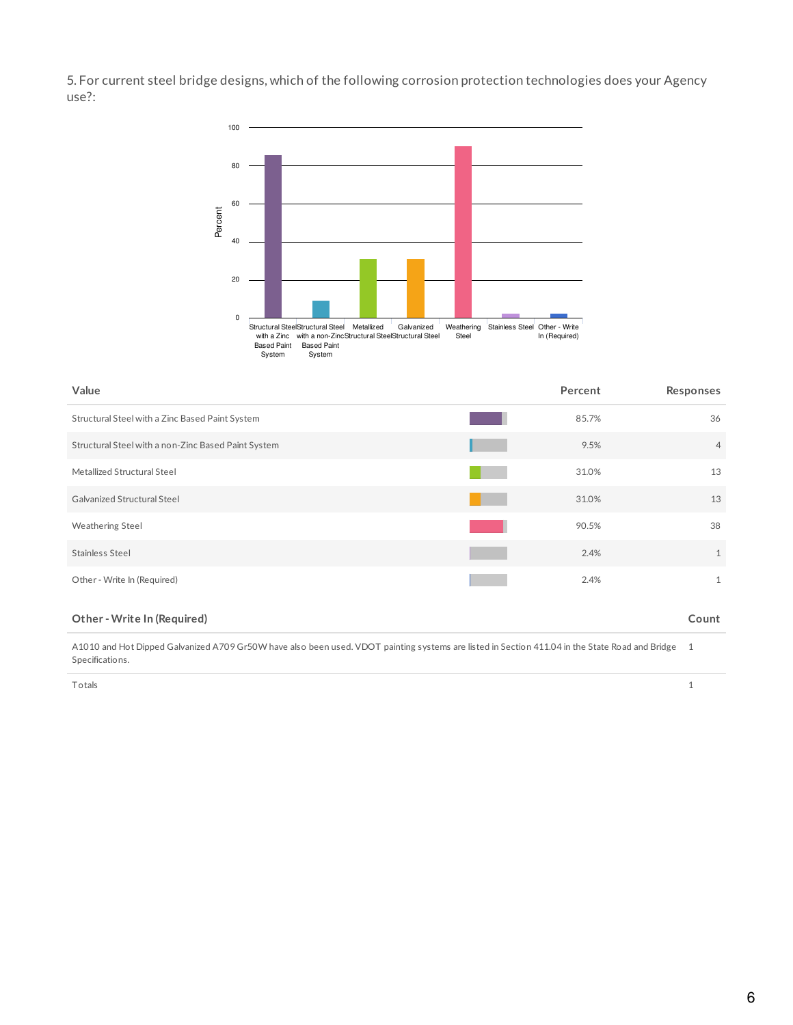5. For current steel bridge designs, which of the following corrosion protection technologies does your Agency use?:



| Value                                               | Percent | Responses      |
|-----------------------------------------------------|---------|----------------|
| Structural Steel with a Zinc Based Paint System     | 85.7%   | 36             |
| Structural Steel with a non-Zinc Based Paint System | 9.5%    | $\overline{4}$ |
| Metallized Structural Steel                         | 31.0%   | 13             |
| Galvanized Structural Steel                         | 31.0%   | 13             |
| <b>Weathering Steel</b>                             | 90.5%   | 38             |
| Stainless Steel                                     | 2.4%    | $\mathbf{1}$   |
| Other - Write In (Required)                         | 2.4%    | $\mathbf{1}$   |

### **Other - Write In (Required) Count**

A1010 and Hot Dipped Galvanized A709 Gr50W have also been used. VDOT painting systems are listed in Section 411.04 in the State Road and Bridge 1 Specifications.

Totals 1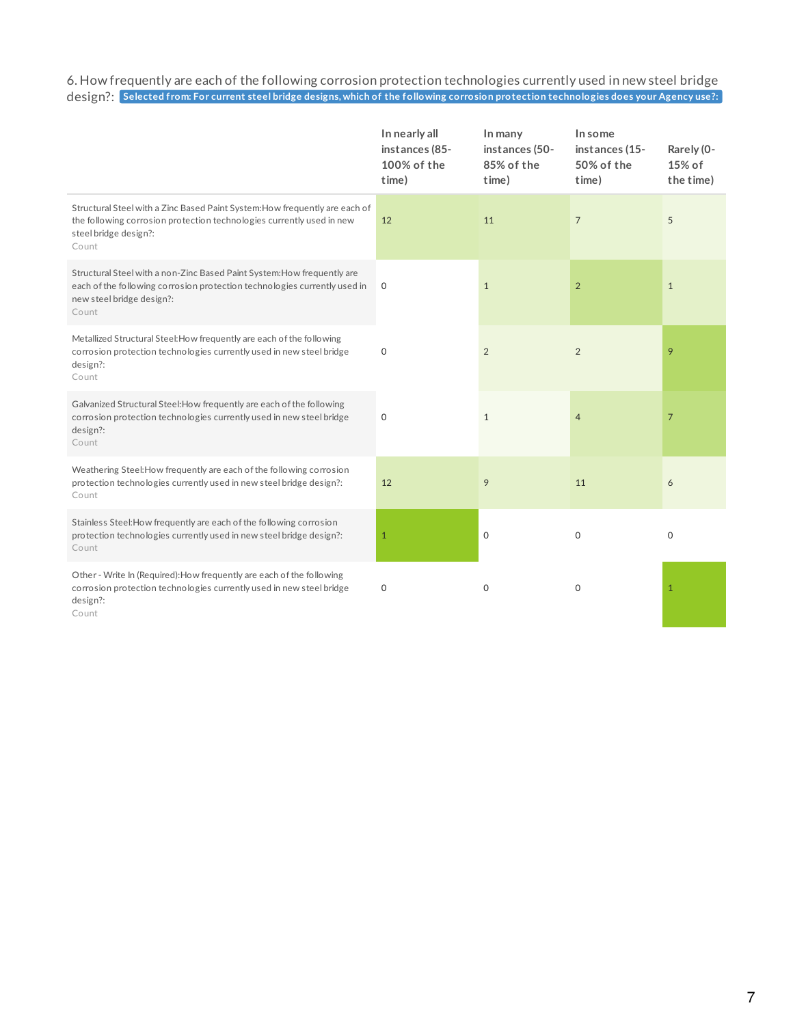6. How frequently are each of the following corrosion protection technologies currently used in new steel bridge design?: Selected from: For current steel bridge designs, which of the following corrosion protection technologies does your Agency use?:

|                                                                                                                                                                                            | In nearly all<br>instances (85-<br>100% of the<br>time) | In many<br>instances (50-<br>85% of the<br>time) | In some<br>instances (15-<br>50% of the<br>time) | Rarely (0-<br>15% of<br>the time) |
|--------------------------------------------------------------------------------------------------------------------------------------------------------------------------------------------|---------------------------------------------------------|--------------------------------------------------|--------------------------------------------------|-----------------------------------|
| Structural Steel with a Zinc Based Paint System: How frequently are each of<br>the following corrosion protection technologies currently used in new<br>steel bridge design?:<br>Count     | 12                                                      | 11                                               | $\overline{7}$                                   | 5                                 |
| Structural Steel with a non-Zinc Based Paint System: How frequently are<br>each of the following corrosion protection technologies currently used in<br>new steel bridge design?:<br>Count | $\mathbf 0$                                             | $\mathbf{1}$                                     | $\overline{2}$                                   | $\mathbf{1}$                      |
| Metallized Structural Steel: How frequently are each of the following<br>corrosion protection technologies currently used in new steel bridge<br>design?:<br>Count                         | $\mathbf 0$                                             | $\overline{2}$                                   | 2                                                | 9                                 |
| Galvanized Structural Steel: How frequently are each of the following<br>corrosion protection technologies currently used in new steel bridge<br>design?:<br>Count                         | $\mathbf 0$                                             | $\mathbf{1}$                                     | $\overline{4}$                                   | $\overline{7}$                    |
| Weathering Steel: How frequently are each of the following corrosion<br>protection technologies currently used in new steel bridge design?:<br>Count                                       | 12                                                      | 9                                                | 11                                               | 6                                 |
| Stainless Steel: How frequently are each of the following corrosion<br>protection technologies currently used in new steel bridge design?:<br>Count                                        | $\mathbf{1}$                                            | 0                                                | $\Omega$                                         | $\mathbf 0$                       |
| Other - Write In (Required): How frequently are each of the following<br>corrosion protection technologies currently used in new steel bridge<br>design?:<br>Count                         | $\mathbf 0$                                             | 0                                                | $\circ$                                          | $\mathbf{1}$                      |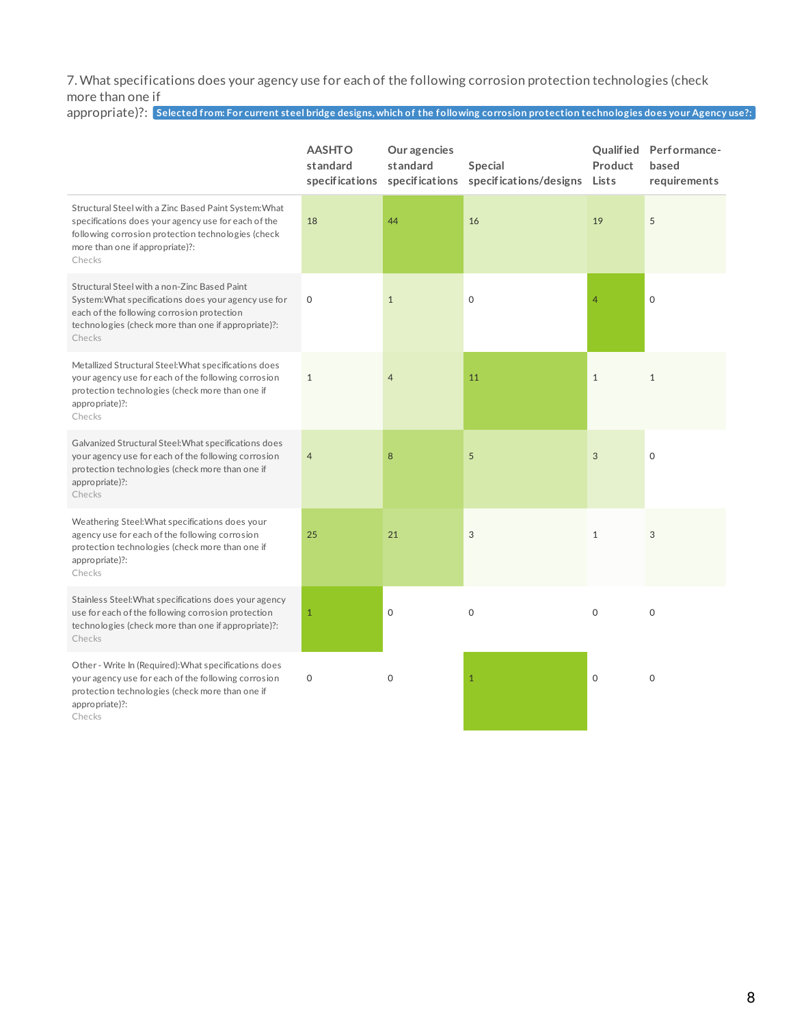7. What specifications does your agency use for each of the following corrosion protection technologies (check more than one if

| appropriate)?: Selected from: For current steel bridge designs, which of the following corrosion protection technologies does your Agency use?: |
|-------------------------------------------------------------------------------------------------------------------------------------------------|
|                                                                                                                                                 |

|                                                                                                                                                                                                                     | <b>AASHTO</b><br>standard | Our agencies<br>standard<br>specifications specifications | Special<br>specifications/designs | Product<br>Lists | Qualified Performance-<br>based<br>requirements |
|---------------------------------------------------------------------------------------------------------------------------------------------------------------------------------------------------------------------|---------------------------|-----------------------------------------------------------|-----------------------------------|------------------|-------------------------------------------------|
| Structural Steel with a Zinc Based Paint System: What<br>specifications does your agency use for each of the<br>following corrosion protection technologies (check<br>more than one if appropriate)?:<br>Checks     | 18                        | 44                                                        | 16                                | 19               | 5                                               |
| Structural Steel with a non-Zinc Based Paint<br>System: What specifications does your agency use for<br>each of the following corrosion protection<br>technologies (check more than one if appropriate)?:<br>Checks | $\mathbf 0$               | $\mathbf{1}$                                              | $\mathbf 0$                       | 4                | $\mathbf 0$                                     |
| Metallized Structural Steel: What specifications does<br>your agency use for each of the following corrosion<br>protection technologies (check more than one if<br>appropriate)?:<br>Checks                         | $\mathbf{1}$              | $\overline{4}$                                            | 11                                | $\mathbf{1}$     | $\mathbf{1}$                                    |
| Galvanized Structural Steel: What specifications does<br>your agency use for each of the following corrosion<br>protection technologies (check more than one if<br>appropriate)?:<br>Checks                         | $\overline{4}$            | 8                                                         | 5                                 | 3                | $\mathbf 0$                                     |
| Weathering Steel: What specifications does your<br>agency use for each of the following corrosion<br>protection technologies (check more than one if<br>appropriate)?:<br>Checks                                    | 25                        | 21                                                        | 3                                 | $\mathbf{1}$     | 3                                               |
| Stainless Steel: What specifications does your agency<br>use for each of the following corrosion protection<br>technologies (check more than one if appropriate)?:<br>Checks                                        | $\mathbf{1}$              | $\mathbf 0$                                               | $\mathbf 0$                       | $\Omega$         | $\mathbf 0$                                     |
| Other - Write In (Required): What specifications does<br>your agency use for each of the following corrosion<br>protection technologies (check more than one if<br>appropriate)?:<br>Checks                         | $\mathsf{O}\xspace$       | $\mathbf 0$                                               | $\mathbf{1}$                      | $\mathbf 0$      | $\mathbf 0$                                     |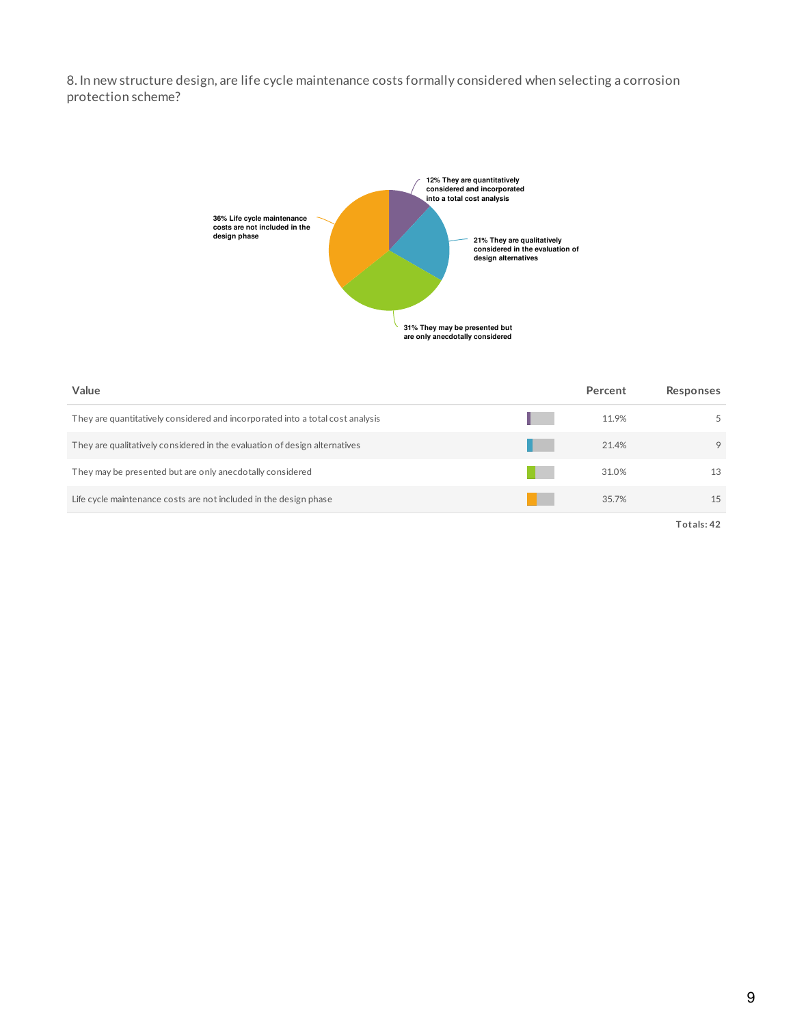8. In new structure design, are life cycle maintenance costs formally considered when selecting a corrosion protection scheme?



| Value                                                                          | Percent | Responses  |
|--------------------------------------------------------------------------------|---------|------------|
| They are quantitatively considered and incorporated into a total cost analysis | 11.9%   | 5          |
| They are qualitatively considered in the evaluation of design alternatives     | 21.4%   | 9          |
| They may be presented but are only anecdotally considered                      | 31.0%   | 13         |
| Life cycle maintenance costs are not included in the design phase              | 35.7%   | 15         |
|                                                                                |         | Totals: 42 |

9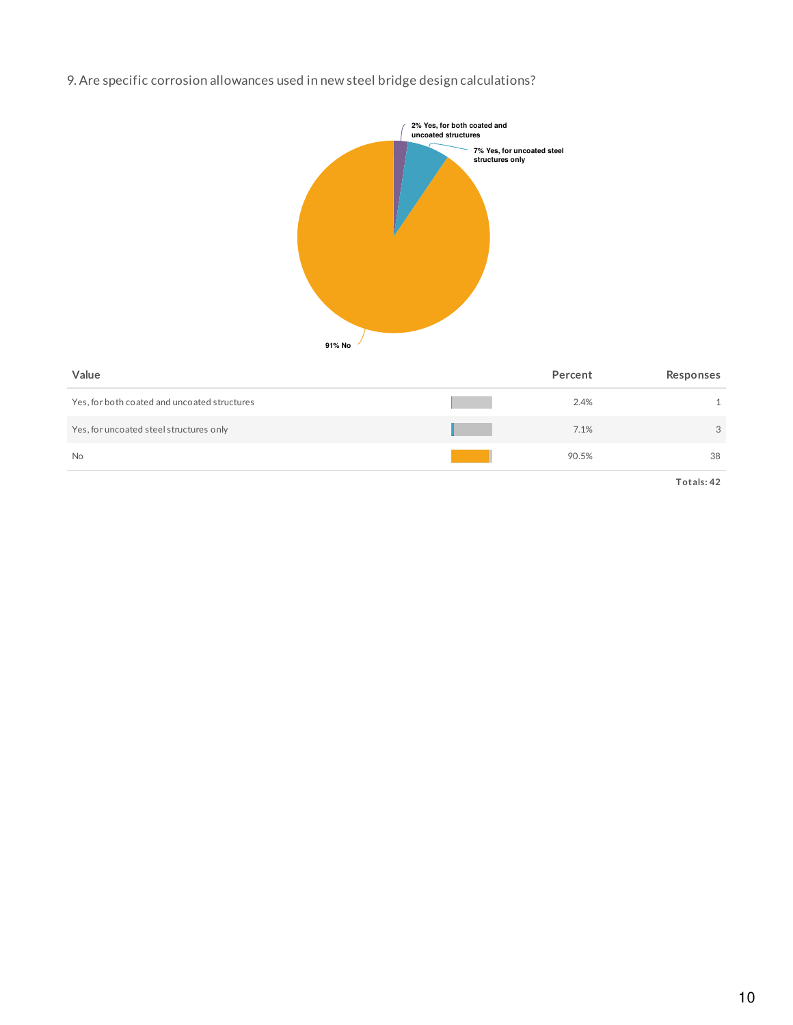# 9. Are specific corrosion allowances used in new steel bridge design calculations?



| Value                                        | Percent | Responses |
|----------------------------------------------|---------|-----------|
| Yes, for both coated and uncoated structures | 2.4%    |           |
| Yes, for uncoated steel structures only      | 7.1%    | 3         |
| <b>No</b>                                    | 90.5%   | 38        |
|                                              |         |           |

**Totals: 42**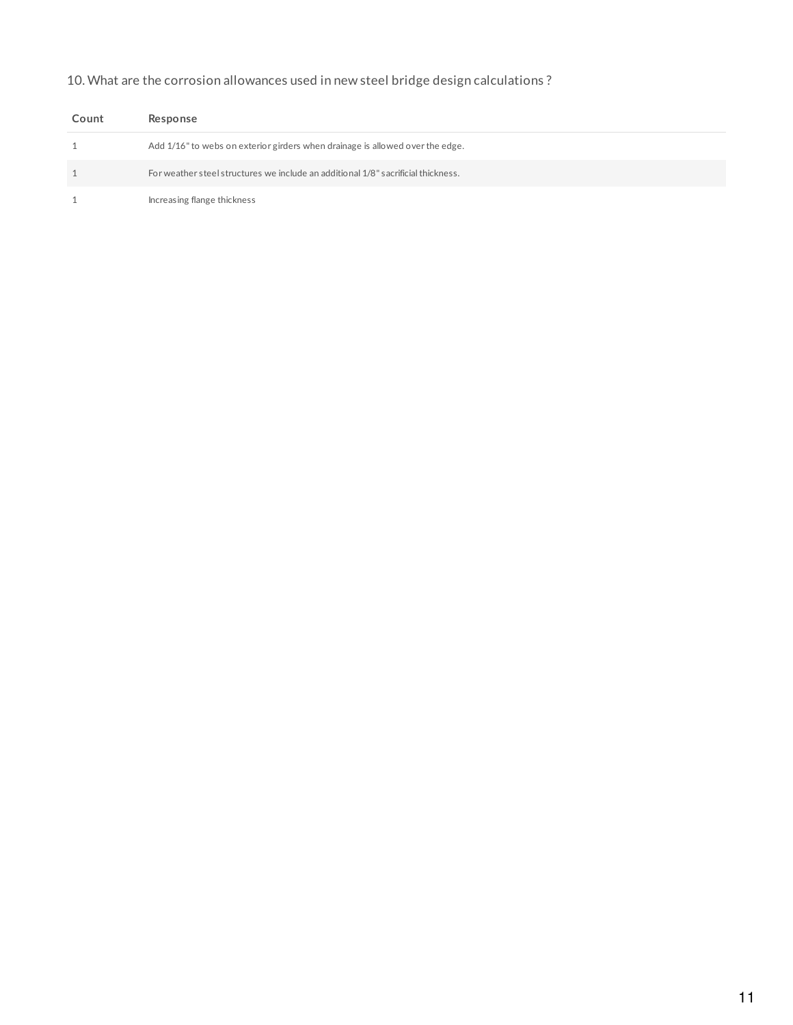# 10. What are the corrosion allowances used in new steel bridge design calculations ?

| Count | Response                                                                          |
|-------|-----------------------------------------------------------------------------------|
|       | Add 1/16" to webs on exterior girders when drainage is allowed over the edge.     |
|       | For weather steel structures we include an additional 1/8" sacrificial thickness. |
|       | Increasing flange thickness                                                       |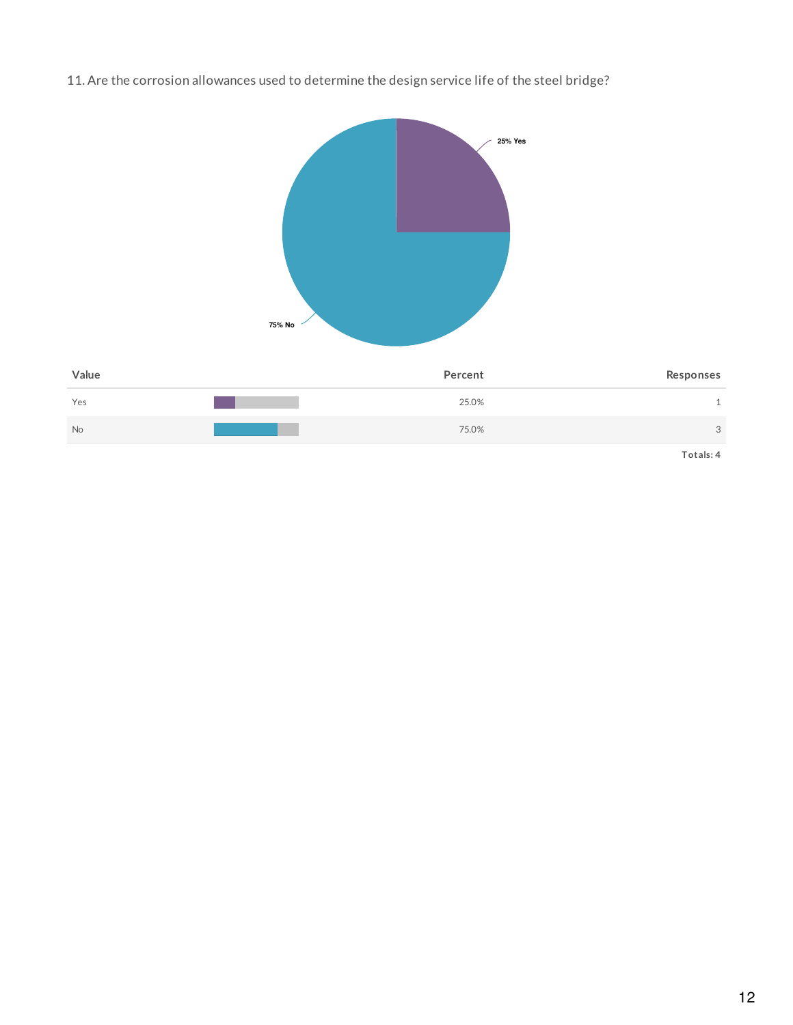11. Are the corrosion allowances used to determine the design service life of the steel bridge?

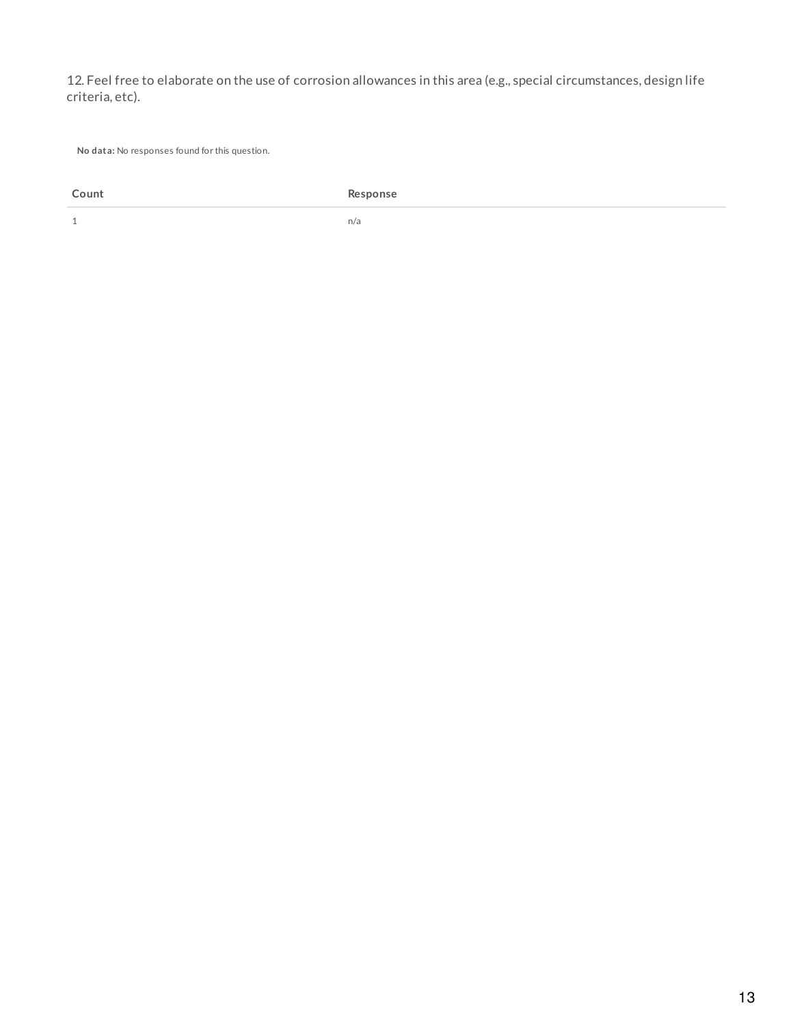12. Feel free to elaborate on the use of corrosion allowances in this area (e.g., special circumstances, design life criteria, etc).

**No data:** No responses found for this question.

**Count Response**

 $1$  n/a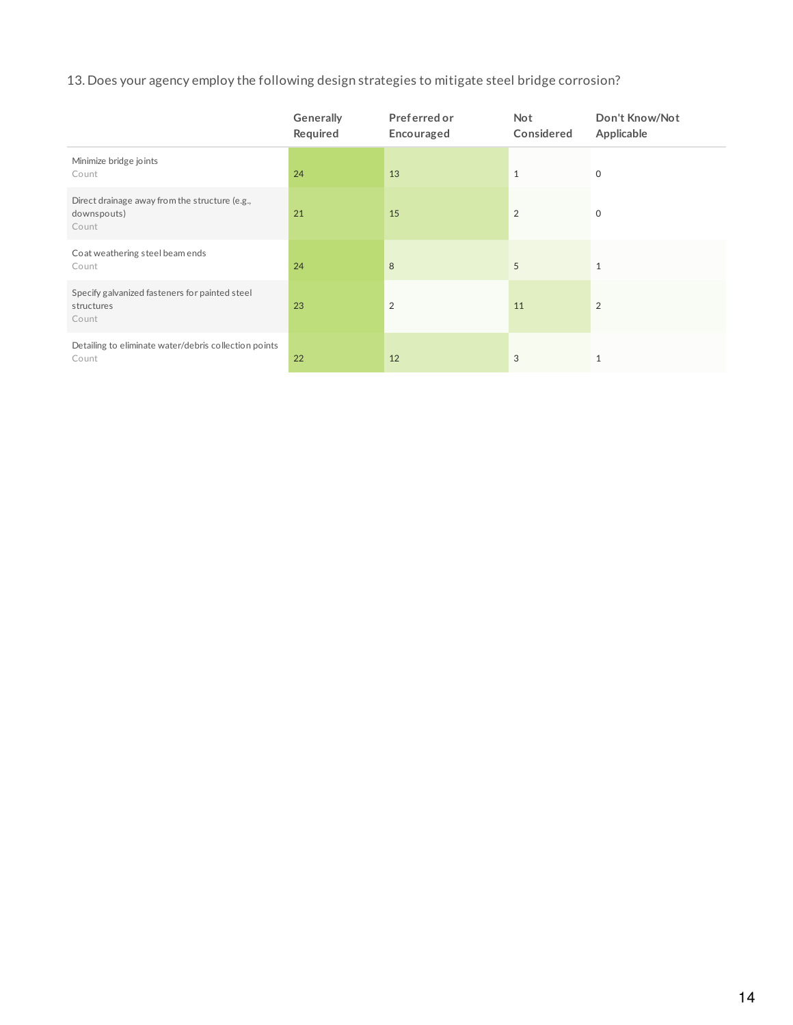# 13. Does your agency employ the following design strategies to mitigate steel bridge corrosion?

|                                                                        | Generally<br>Required | Preferred or<br>Encouraged | <b>Not</b><br>Considered | Don't Know/Not<br>Applicable |
|------------------------------------------------------------------------|-----------------------|----------------------------|--------------------------|------------------------------|
| Minimize bridge joints<br>Count                                        | 24                    | 13                         | $\mathbf{1}$             | $\mathbf 0$                  |
| Direct drainage away from the structure (e.g.,<br>downspouts)<br>Count | 21                    | 15                         | 2                        | $\mathbf 0$                  |
| Coat weathering steel beam ends<br>Count                               | 24                    | 8                          | 5                        | $\mathbf{1}$                 |
| Specify galvanized fasteners for painted steel<br>structures<br>Count  | 23                    | $\overline{2}$             | 11                       | $\overline{2}$               |
| Detailing to eliminate water/debris collection points<br>Count         | 22                    | 12                         | 3                        | $\mathbf{1}$                 |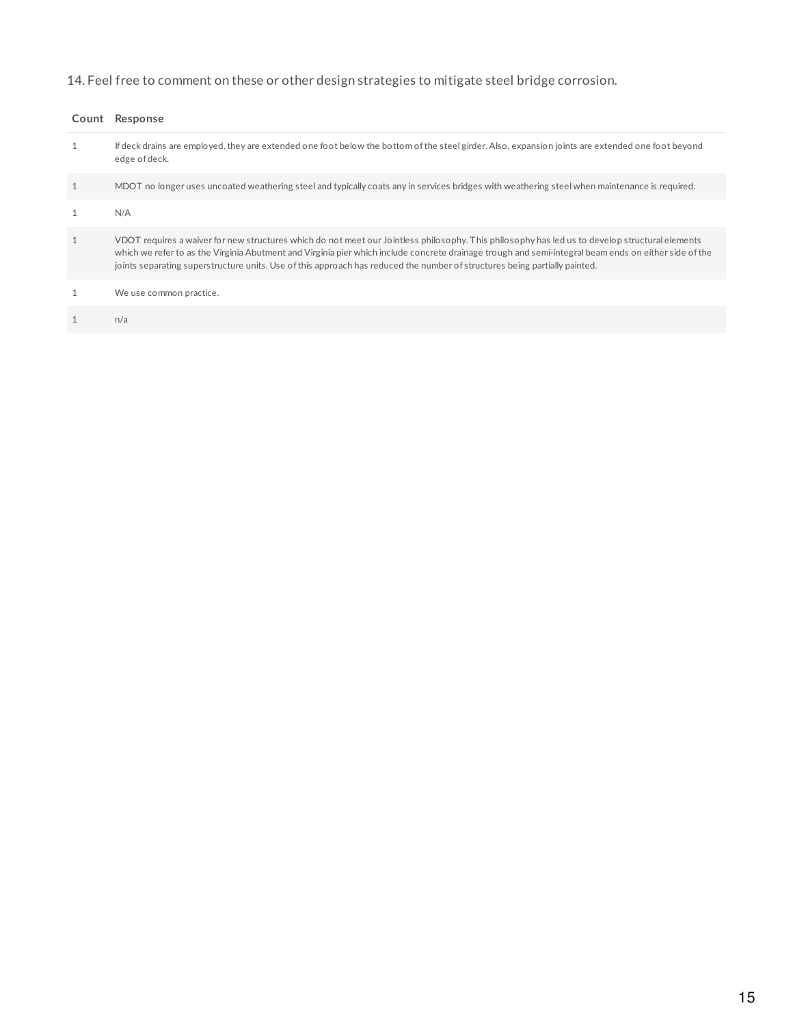# 14. Feel free to comment on these or other design strategies to mitigate steel bridge corrosion.

| Count Response                                                                                                                                                                                                                                                                                                                                                                                                                         |
|----------------------------------------------------------------------------------------------------------------------------------------------------------------------------------------------------------------------------------------------------------------------------------------------------------------------------------------------------------------------------------------------------------------------------------------|
| If deck drains are employed, they are extended one foot below the bottom of the steel girder. Also, expansion joints are extended one foot beyond<br>edge of deck.                                                                                                                                                                                                                                                                     |
| MDOT no longer uses uncoated weathering steel and typically coats any in services bridges with weathering steel when maintenance is required.                                                                                                                                                                                                                                                                                          |
| N/A                                                                                                                                                                                                                                                                                                                                                                                                                                    |
| VDOT requires a waiver for new structures which do not meet our Jointless philosophy. This philosophy has led us to develop structural elements<br>which we refer to as the Virginia Abutment and Virginia pier which include concrete drainage trough and semi-integral beam ends on either side of the<br>joints separating superstructure units. Use of this approach has reduced the number of structures being partially painted. |
| We use common practice.                                                                                                                                                                                                                                                                                                                                                                                                                |
| n/a                                                                                                                                                                                                                                                                                                                                                                                                                                    |
|                                                                                                                                                                                                                                                                                                                                                                                                                                        |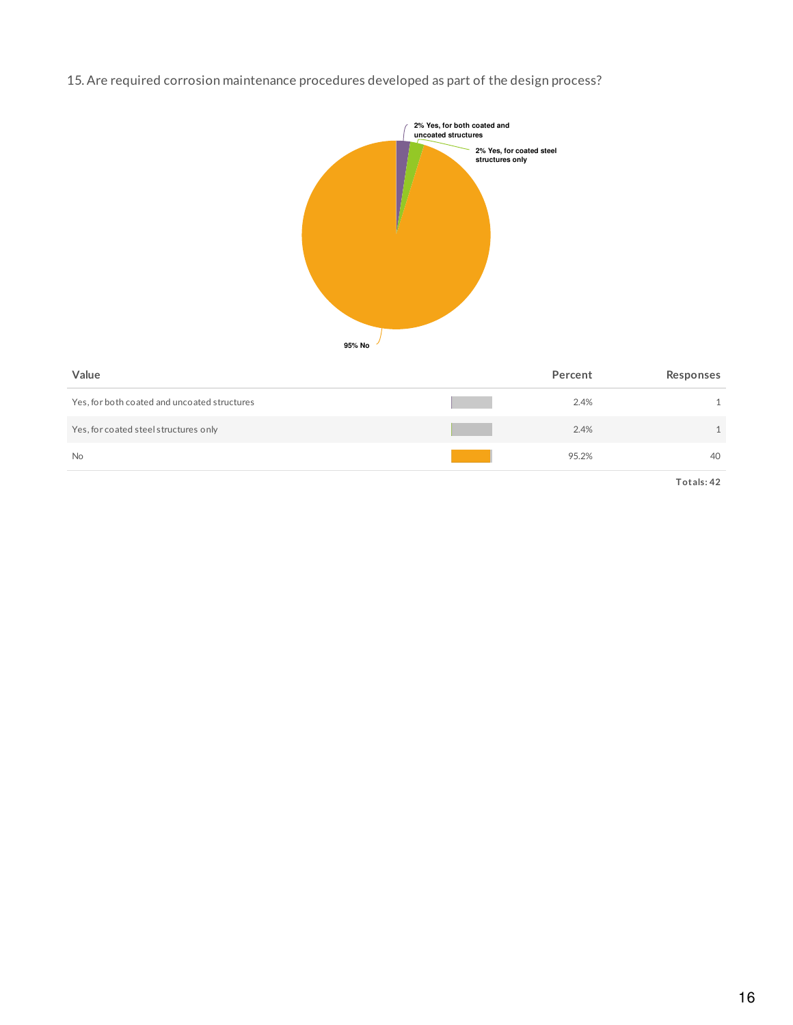## 15. Are required corrosion maintenance procedures developed as part of the design process?



| Value                                        | Percent | Responses |
|----------------------------------------------|---------|-----------|
| Yes, for both coated and uncoated structures | 2.4%    | 1.        |
| Yes, for coated steel structures only        | 2.4%    | 1.        |
| <b>No</b>                                    | 95.2%   | 40        |
|                                              |         |           |

**Totals: 42**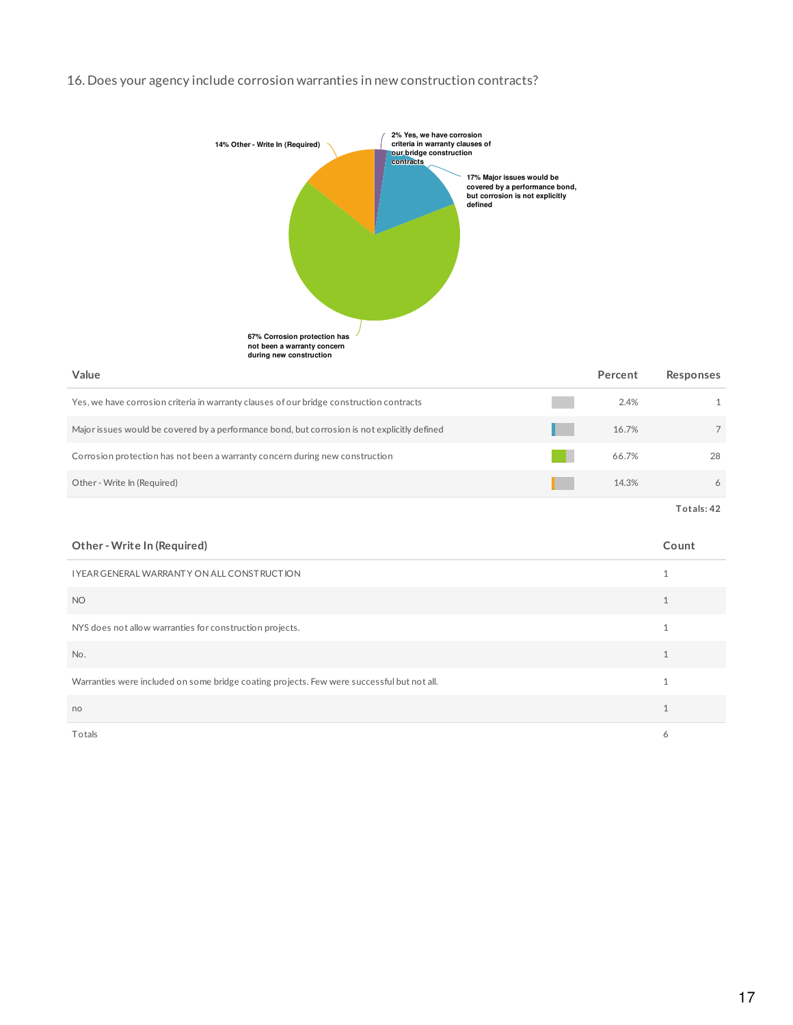### 16. Does your agency include corrosion warranties in new construction contracts?



| Yes, we have corrosion criteria in warranty clauses of our bridge construction contracts     | 2.4%  | 1. |
|----------------------------------------------------------------------------------------------|-------|----|
| Major issues would be covered by a performance bond, but corrosion is not explicitly defined | 16.7% |    |
| Corrosion protection has not been a warranty concern during new construction                 | 66.7% | 28 |
| Other - Write In (Required)                                                                  | 14.3% |    |
|                                                                                              |       |    |

**Totals: 42**

| Other - Write In (Required)                                                                | Count |
|--------------------------------------------------------------------------------------------|-------|
| I YEAR GENERAL WARRANTY ON ALL CONSTRUCTION                                                |       |
| <b>NO</b>                                                                                  |       |
| NYS does not allow warranties for construction projects.                                   |       |
| No.                                                                                        |       |
| Warranties were included on some bridge coating projects. Few were successful but not all. |       |
| no                                                                                         |       |
| Totals                                                                                     | 6     |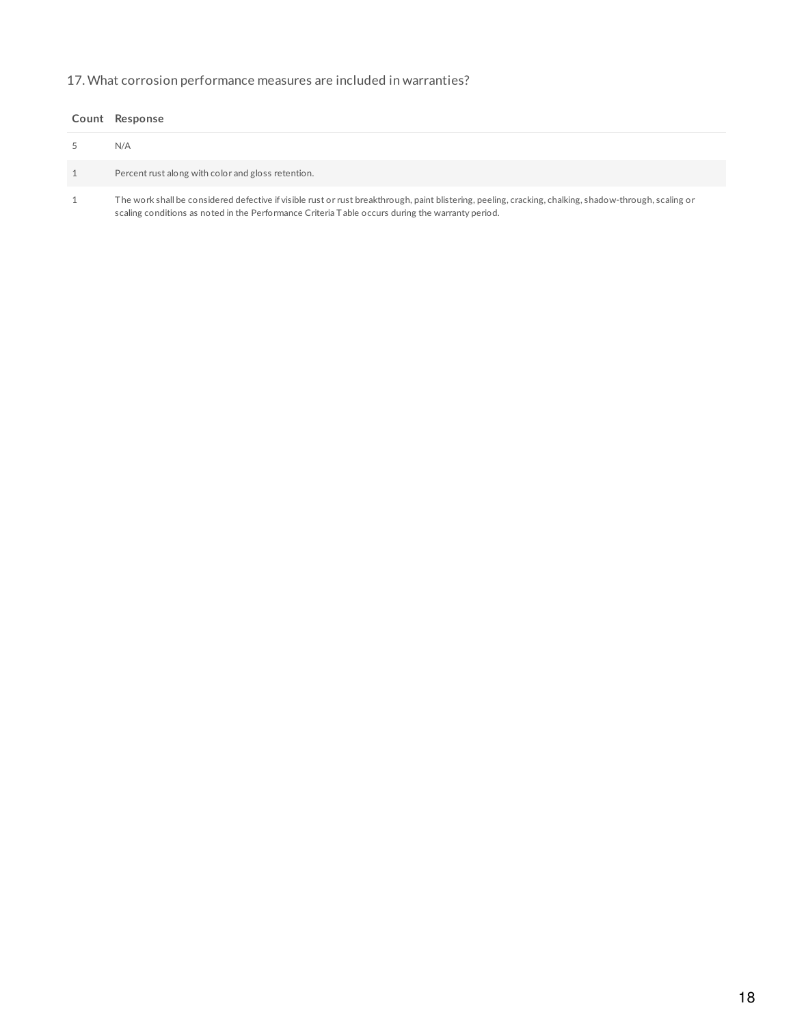## 17. What corrosion performance measures are included in warranties?

| Count Response                                                                                                                                                                                                                                             |
|------------------------------------------------------------------------------------------------------------------------------------------------------------------------------------------------------------------------------------------------------------|
| N/A                                                                                                                                                                                                                                                        |
| Percent rust along with color and gloss retention.                                                                                                                                                                                                         |
| The work shall be considered defective if visible rust or rust breakthrough, paint blistering, peeling, cracking, chalking, shadow-through, scaling or<br>scaling conditions as noted in the Performance Criteria Table occurs during the warranty period. |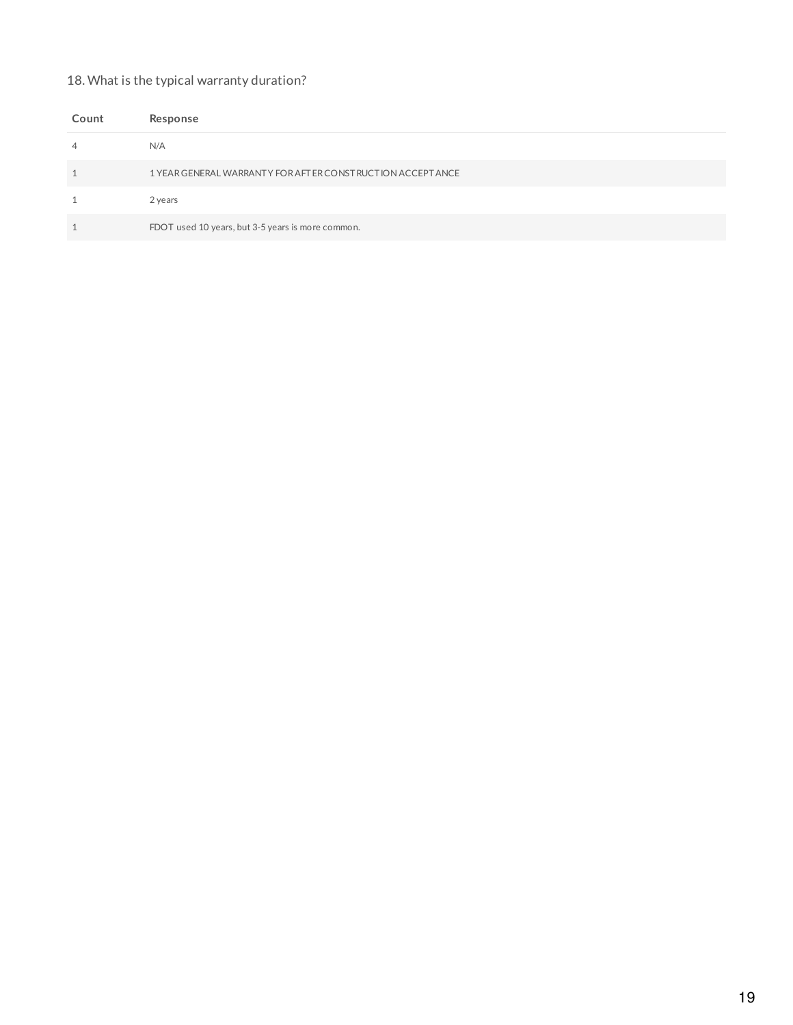## 18. What is the typical warranty duration?

| Count                   | Response                                                      |
|-------------------------|---------------------------------------------------------------|
| $\overline{4}$          | N/A                                                           |
| $\mathbf{\overline{1}}$ | 1 YEAR GENERAL WARRANT Y FOR AFT ER CONST RUCTION ACCEPT ANCE |
|                         | 2 years                                                       |
| $\overline{ }$          | FDOT used 10 years, but 3-5 years is more common.             |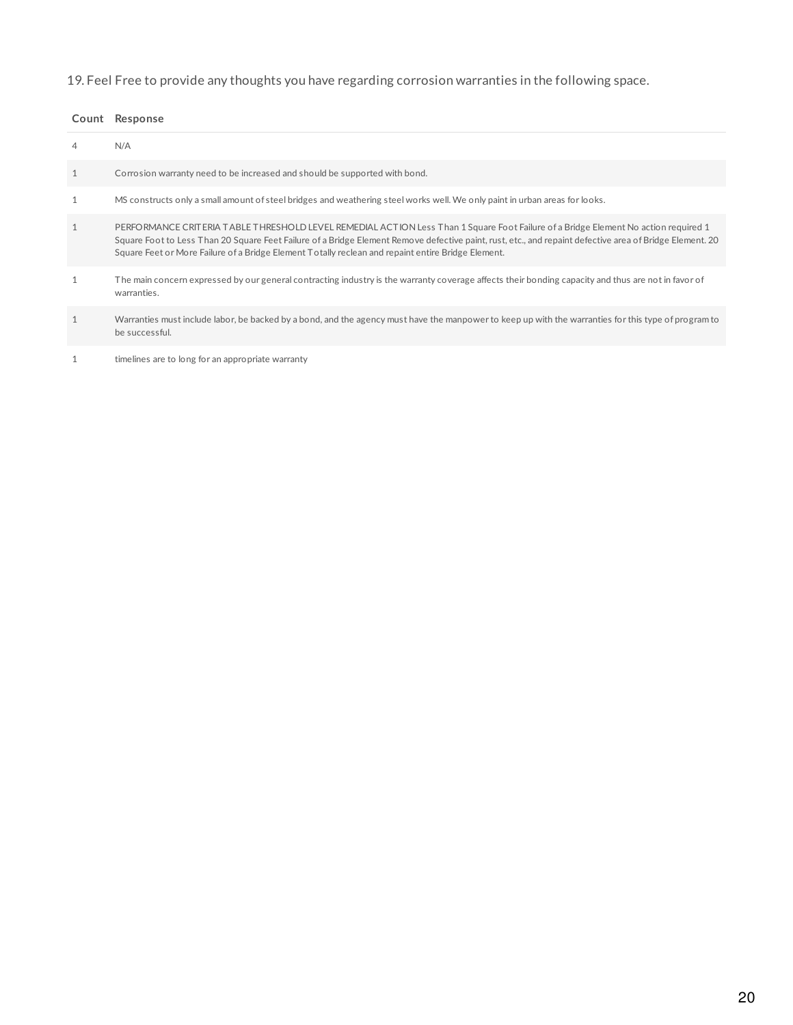# 19. Feel Free to provide any thoughts you have regarding corrosion warranties in the following space.

### **Count Response**

| 4            | N/A                                                                                                                                                                                                                                                                                                                                                                                                   |
|--------------|-------------------------------------------------------------------------------------------------------------------------------------------------------------------------------------------------------------------------------------------------------------------------------------------------------------------------------------------------------------------------------------------------------|
| $\mathbf{1}$ | Corrosion warranty need to be increased and should be supported with bond.                                                                                                                                                                                                                                                                                                                            |
| $\mathbf{1}$ | MS constructs only a small amount of steel bridges and weathering steel works well. We only paint in urban areas for looks.                                                                                                                                                                                                                                                                           |
| $\mathbf{1}$ | PERFORMANCE CRITERIA TABLE THRESHOLD LEVEL REMEDIAL ACTION Less Than 1 Square Foot Failure of a Bridge Element No action required 1<br>Square Foot to Less Than 20 Square Feet Failure of a Bridge Element Remove defective paint, rust, etc., and repaint defective area of Bridge Element. 20<br>Square Feet or More Failure of a Bridge Element Totally reclean and repaint entire Bridge Element. |
| $\mathbf{1}$ | The main concern expressed by our general contracting industry is the warranty coverage affects their bonding capacity and thus are not in favor of<br>warranties.                                                                                                                                                                                                                                    |
| $\mathbf{1}$ | Warranties must include labor, be backed by a bond, and the agency must have the manpower to keep up with the warranties for this type of program to<br>be successful.                                                                                                                                                                                                                                |
|              | timelines are to long for an appropriate warranty                                                                                                                                                                                                                                                                                                                                                     |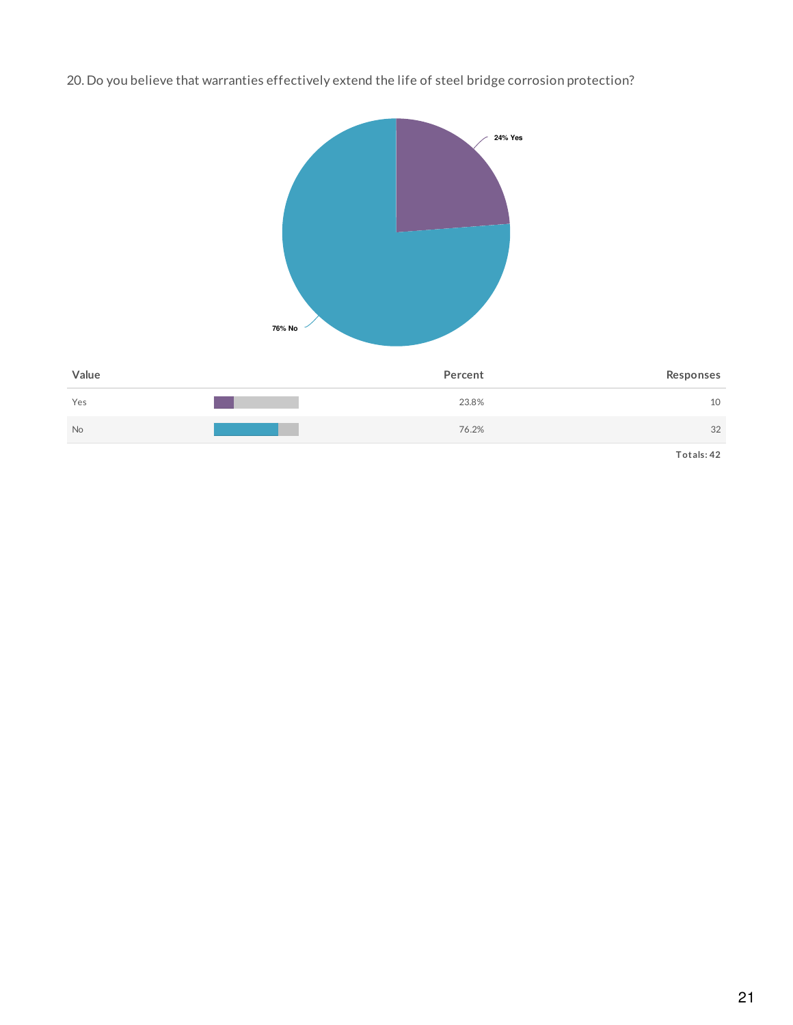20. Do you believe that warranties effectively extend the life of steel bridge corrosion protection?

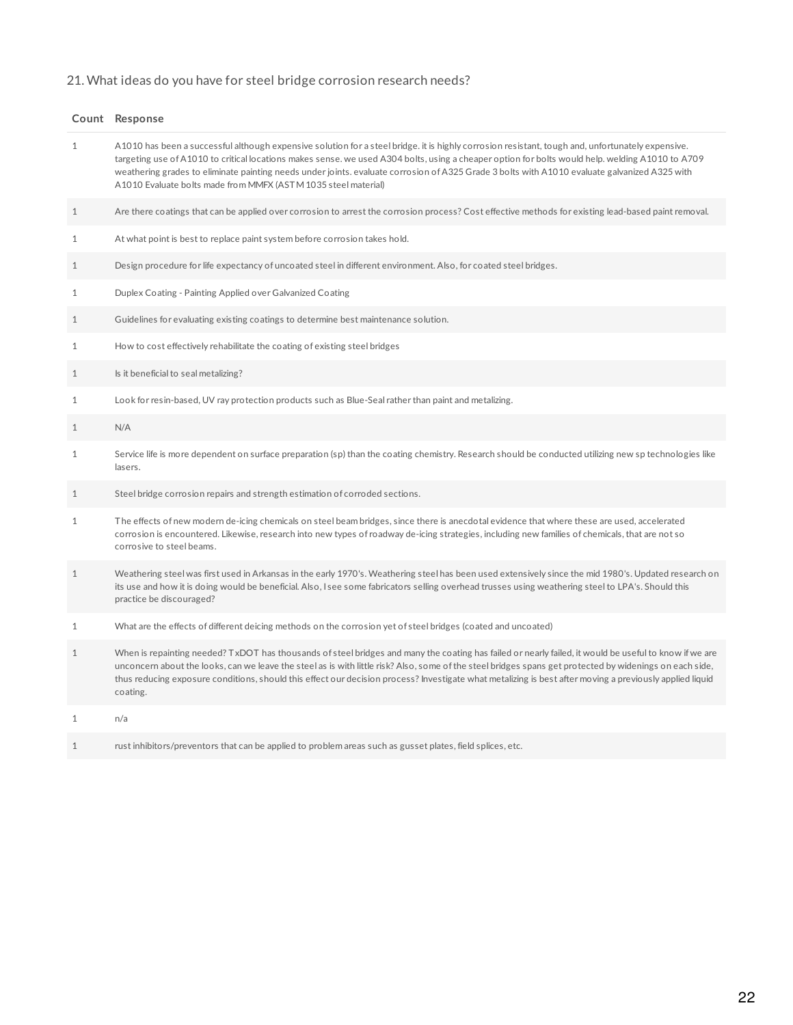# 21. What ideas do you have for steel bridge corrosion research needs?

|              | Count Response                                                                                                                                                                                                                                                                                                                                                                                                                                                                                                           |
|--------------|--------------------------------------------------------------------------------------------------------------------------------------------------------------------------------------------------------------------------------------------------------------------------------------------------------------------------------------------------------------------------------------------------------------------------------------------------------------------------------------------------------------------------|
| 1            | A1010 has been a successful although expensive solution for a steel bridge. it is highly corrosion resistant, tough and, unfortunately expensive.<br>targeting use of A1010 to critical locations makes sense. we used A304 bolts, using a cheaper option for bolts would help. welding A1010 to A709<br>weathering grades to eliminate painting needs under joints. evaluate corrosion of A325 Grade 3 bolts with A1010 evaluate galvanized A325 with<br>A1010 Evaluate bolts made from MMFX (ASTM 1035 steel material) |
| $\mathbf{1}$ | Are there coatings that can be applied over corrosion to arrest the corrosion process? Cost effective methods for existing lead-based paint removal.                                                                                                                                                                                                                                                                                                                                                                     |
| $\mathbf{1}$ | At what point is best to replace paint system before corrosion takes hold.                                                                                                                                                                                                                                                                                                                                                                                                                                               |
| $\mathbf{1}$ | Design procedure for life expectancy of uncoated steel in different environment. Also, for coated steel bridges.                                                                                                                                                                                                                                                                                                                                                                                                         |
| $\mathbf{1}$ | Duplex Coating - Painting Applied over Galvanized Coating                                                                                                                                                                                                                                                                                                                                                                                                                                                                |
| $\mathbf{1}$ | Guidelines for evaluating existing coatings to determine best maintenance solution.                                                                                                                                                                                                                                                                                                                                                                                                                                      |
| $\mathbf{1}$ | How to cost effectively rehabilitate the coating of existing steel bridges                                                                                                                                                                                                                                                                                                                                                                                                                                               |
| $\mathbf{1}$ | Is it beneficial to seal metalizing?                                                                                                                                                                                                                                                                                                                                                                                                                                                                                     |
| $\mathbf{1}$ | Look for resin-based, UV ray protection products such as Blue-Seal rather than paint and metalizing.                                                                                                                                                                                                                                                                                                                                                                                                                     |
| $\mathbf{1}$ | N/A                                                                                                                                                                                                                                                                                                                                                                                                                                                                                                                      |
| $\mathbf 1$  | Service life is more dependent on surface preparation (sp) than the coating chemistry. Research should be conducted utilizing new sp technologies like<br>lasers.                                                                                                                                                                                                                                                                                                                                                        |
| $\mathbf{1}$ | Steel bridge corrosion repairs and strength estimation of corroded sections.                                                                                                                                                                                                                                                                                                                                                                                                                                             |
| $\mathbf{1}$ | The effects of new modern de-icing chemicals on steel beam bridges, since there is anecdotal evidence that where these are used, accelerated<br>corrosion is encountered. Likewise, research into new types of roadway de-icing strategies, including new families of chemicals, that are not so<br>corrosive to steel beams.                                                                                                                                                                                            |
| $1\,$        | Weathering steel was first used in Arkansas in the early 1970's. Weathering steel has been used extensively since the mid 1980's. Updated research on<br>its use and how it is doing would be beneficial. Also, I see some fabricators selling overhead trusses using weathering steel to LPA's. Should this<br>practice be discouraged?                                                                                                                                                                                 |
| $\mathbf{1}$ | What are the effects of different deicing methods on the corrosion yet of steel bridges (coated and uncoated)                                                                                                                                                                                                                                                                                                                                                                                                            |
| $1\,$        | When is repainting needed? TxDOT has thousands of steel bridges and many the coating has failed or nearly failed, it would be useful to know if we are<br>unconcern about the looks, can we leave the steel as is with little risk? Also, some of the steel bridges spans get protected by widenings on each side,<br>thus reducing exposure conditions, should this effect our decision process? Investigate what metalizing is best after moving a previously applied liquid<br>coating.                               |
| $\mathbf{1}$ | n/a                                                                                                                                                                                                                                                                                                                                                                                                                                                                                                                      |
| $\mathbf{1}$ | rust inhibitors/preventors that can be applied to problem areas such as gusset plates, field splices, etc.                                                                                                                                                                                                                                                                                                                                                                                                               |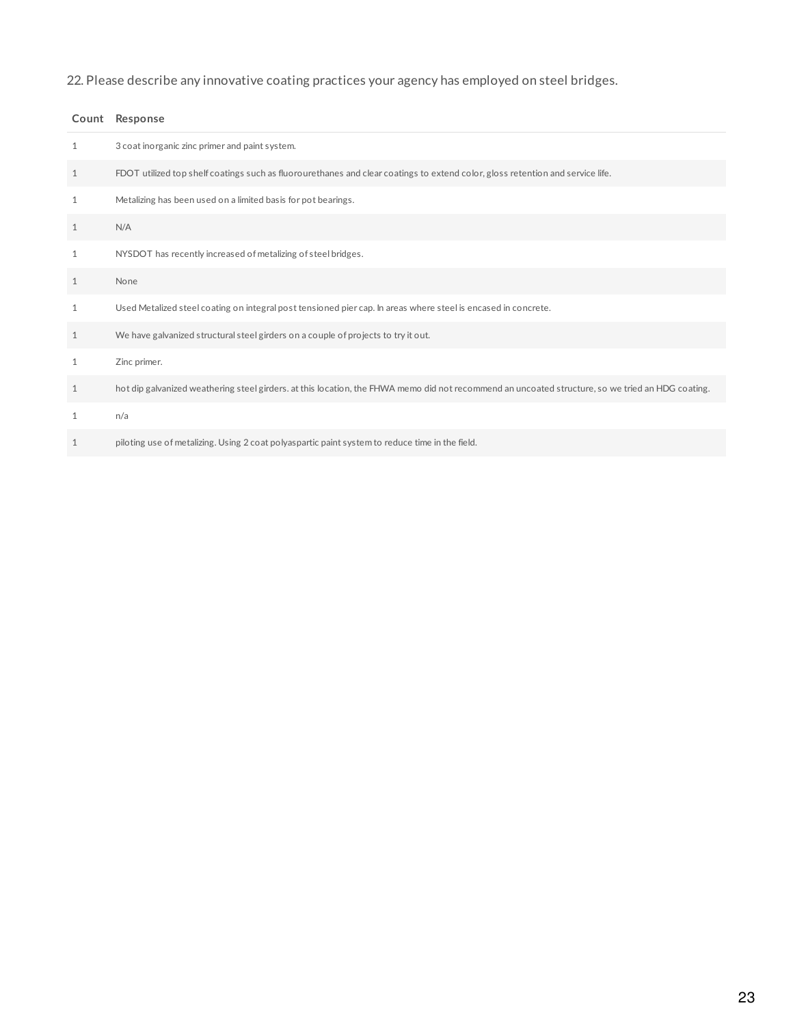22. Please describe any innovative coating practices your agency has employed on steel bridges.

|              | Count Response                                                                                                                                    |
|--------------|---------------------------------------------------------------------------------------------------------------------------------------------------|
| $\mathbf{1}$ | 3 coat inorganic zinc primer and paint system.                                                                                                    |
| $\mathbf{1}$ | FDOT utilized top shelf coatings such as fluorourethanes and clear coatings to extend color, gloss retention and service life.                    |
| 1            | Metalizing has been used on a limited basis for pot bearings.                                                                                     |
| $\mathbf{1}$ | N/A                                                                                                                                               |
| 1            | NYSDOT has recently increased of metalizing of steel bridges.                                                                                     |
| 1            | None                                                                                                                                              |
| 1            | Used Metalized steel coating on integral post tensioned pier cap. In areas where steel is encased in concrete.                                    |
| $\mathbf{1}$ | We have galvanized structural steel girders on a couple of projects to try it out.                                                                |
| 1            | Zinc primer.                                                                                                                                      |
| $\mathbf{1}$ | hot dip galvanized weathering steel girders. at this location, the FHWA memo did not recommend an uncoated structure, so we tried an HDG coating. |
| 1            | n/a                                                                                                                                               |
| 1            | piloting use of metalizing. Using 2 coat polyaspartic paint system to reduce time in the field.                                                   |